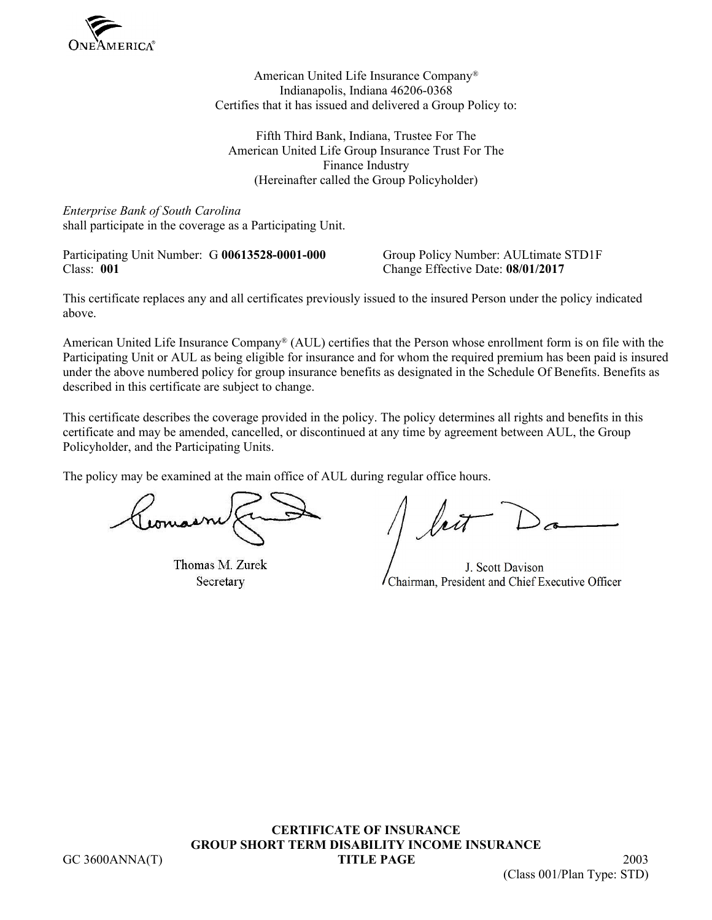

American United Life Insurance Company® Indianapolis, Indiana 46206-0368 Certifies that it has issued and delivered a Group Policy to:

Fifth Third Bank, Indiana, Trustee For The American United Life Group Insurance Trust For The Finance Industry (Hereinafter called the Group Policyholder)

*Enterprise Bank of South Carolina* shall participate in the coverage as a Participating Unit.

Participating Unit Number: G 00613528-0001-000 Group Policy Number: AULtimate STD1F<br>Class: 001 Change Effective Date: 08/01/2017

Change Effective Date:  $08/01/2017$ 

This certificate replaces any and all certificates previously issued to the insured Person under the policy indicated above.

American United Life Insurance Company® (AUL) certifies that the Person whose enrollment form is on file with the Participating Unit or AUL as being eligible for insurance and for whom the required premium has been paid is insured under the above numbered policy for group insurance benefits as designated in the Schedule Of Benefits. Benefits as described in this certificate are subject to change.

This certificate describes the coverage provided in the policy. The policy determines all rights and benefits in this certificate and may be amended, cancelled, or discontinued at any time by agreement between AUL, the Group Policyholder, and the Participating Units.

The policy may be examined at the main office of AUL during regular office hours.

Thomas M. Zurek Secretary

J. Scott Davison Chairman, President and Chief Executive Officer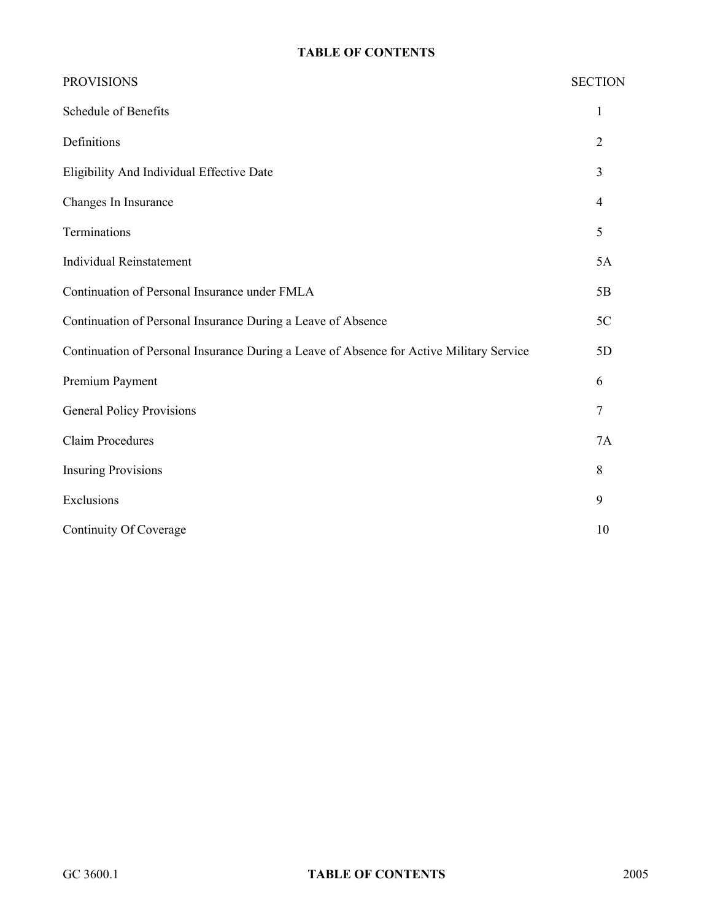## **TABLE OF CONTENTS**

| <b>PROVISIONS</b>                                                                        | <b>SECTION</b> |
|------------------------------------------------------------------------------------------|----------------|
| Schedule of Benefits                                                                     | 1              |
| Definitions                                                                              | $\overline{2}$ |
| Eligibility And Individual Effective Date                                                | 3              |
| Changes In Insurance                                                                     | 4              |
| Terminations                                                                             | 5              |
| <b>Individual Reinstatement</b>                                                          | 5A             |
| Continuation of Personal Insurance under FMLA                                            | 5B             |
| Continuation of Personal Insurance During a Leave of Absence                             | 5C             |
| Continuation of Personal Insurance During a Leave of Absence for Active Military Service | 5D             |
| Premium Payment                                                                          | 6              |
| <b>General Policy Provisions</b>                                                         | 7              |
| <b>Claim Procedures</b>                                                                  | 7A             |
| <b>Insuring Provisions</b>                                                               | 8              |
| Exclusions                                                                               | 9              |
| Continuity Of Coverage                                                                   | 10             |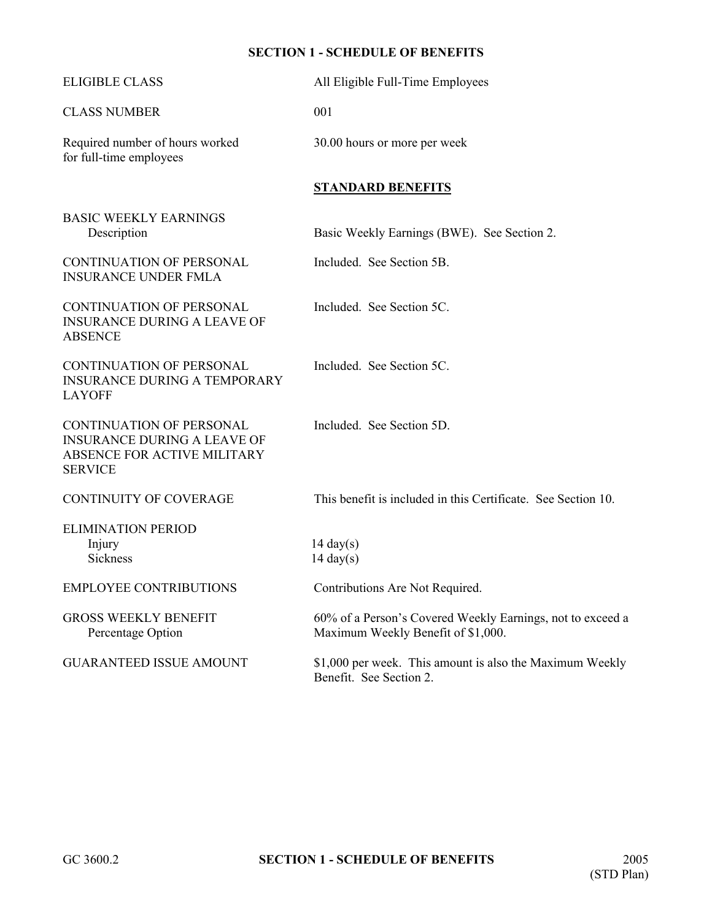## **SECTION 1 - SCHEDULE OF BENEFITS**

| <b>ELIGIBLE CLASS</b>                                                                                                  | All Eligible Full-Time Employees                                                                 |
|------------------------------------------------------------------------------------------------------------------------|--------------------------------------------------------------------------------------------------|
| <b>CLASS NUMBER</b>                                                                                                    | 001                                                                                              |
| Required number of hours worked<br>for full-time employees                                                             | 30.00 hours or more per week                                                                     |
|                                                                                                                        | <b>STANDARD BENEFITS</b>                                                                         |
| <b>BASIC WEEKLY EARNINGS</b><br>Description                                                                            | Basic Weekly Earnings (BWE). See Section 2.                                                      |
| CONTINUATION OF PERSONAL<br><b>INSURANCE UNDER FMLA</b>                                                                | Included. See Section 5B.                                                                        |
| <b>CONTINUATION OF PERSONAL</b><br><b>INSURANCE DURING A LEAVE OF</b><br><b>ABSENCE</b>                                | Included. See Section 5C.                                                                        |
| <b>CONTINUATION OF PERSONAL</b><br><b>INSURANCE DURING A TEMPORARY</b><br><b>LAYOFF</b>                                | Included. See Section 5C.                                                                        |
| <b>CONTINUATION OF PERSONAL</b><br><b>INSURANCE DURING A LEAVE OF</b><br>ABSENCE FOR ACTIVE MILITARY<br><b>SERVICE</b> | Included. See Section 5D.                                                                        |
| <b>CONTINUITY OF COVERAGE</b>                                                                                          | This benefit is included in this Certificate. See Section 10.                                    |
| <b>ELIMINATION PERIOD</b><br>Injury<br>Sickness                                                                        | $14 \text{ day}(s)$<br>$14 \text{ day}(s)$                                                       |
| <b>EMPLOYEE CONTRIBUTIONS</b>                                                                                          | Contributions Are Not Required.                                                                  |
| <b>GROSS WEEKLY BENEFIT</b><br>Percentage Option                                                                       | 60% of a Person's Covered Weekly Earnings, not to exceed a<br>Maximum Weekly Benefit of \$1,000. |
| <b>GUARANTEED ISSUE AMOUNT</b>                                                                                         | \$1,000 per week. This amount is also the Maximum Weekly<br>Benefit. See Section 2.              |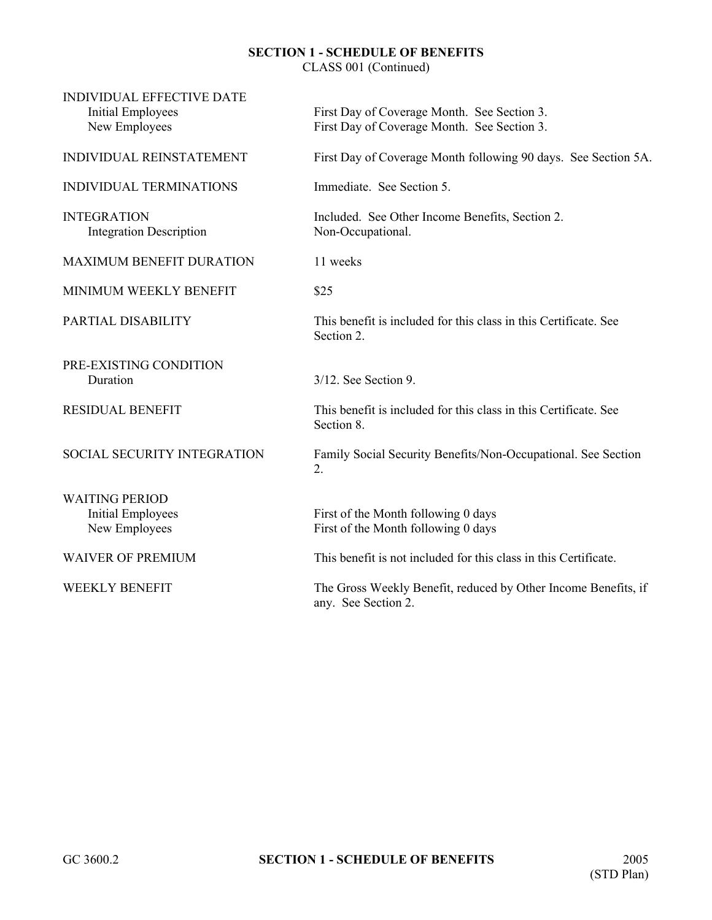# **SECTION 1 - SCHEDULE OF BENEFITS**

CLASS 001 (Continued)

| <b>INDIVIDUAL EFFECTIVE DATE</b><br><b>Initial Employees</b><br>New Employees | First Day of Coverage Month. See Section 3.<br>First Day of Coverage Month. See Section 3. |
|-------------------------------------------------------------------------------|--------------------------------------------------------------------------------------------|
| INDIVIDUAL REINSTATEMENT                                                      | First Day of Coverage Month following 90 days. See Section 5A.                             |
| <b>INDIVIDUAL TERMINATIONS</b>                                                | Immediate. See Section 5.                                                                  |
| <b>INTEGRATION</b><br><b>Integration Description</b>                          | Included. See Other Income Benefits, Section 2.<br>Non-Occupational.                       |
| <b>MAXIMUM BENEFIT DURATION</b>                                               | 11 weeks                                                                                   |
| MINIMUM WEEKLY BENEFIT                                                        | \$25                                                                                       |
| PARTIAL DISABILITY                                                            | This benefit is included for this class in this Certificate. See<br>Section 2.             |
| PRE-EXISTING CONDITION<br>Duration                                            | $3/12$ . See Section 9.                                                                    |
| <b>RESIDUAL BENEFIT</b>                                                       | This benefit is included for this class in this Certificate. See<br>Section 8.             |
| SOCIAL SECURITY INTEGRATION                                                   | Family Social Security Benefits/Non-Occupational. See Section<br>2.                        |
| <b>WAITING PERIOD</b><br><b>Initial Employees</b><br>New Employees            | First of the Month following 0 days<br>First of the Month following 0 days                 |
| <b>WAIVER OF PREMIUM</b>                                                      | This benefit is not included for this class in this Certificate.                           |
| <b>WEEKLY BENEFIT</b>                                                         | The Gross Weekly Benefit, reduced by Other Income Benefits, if<br>any. See Section 2.      |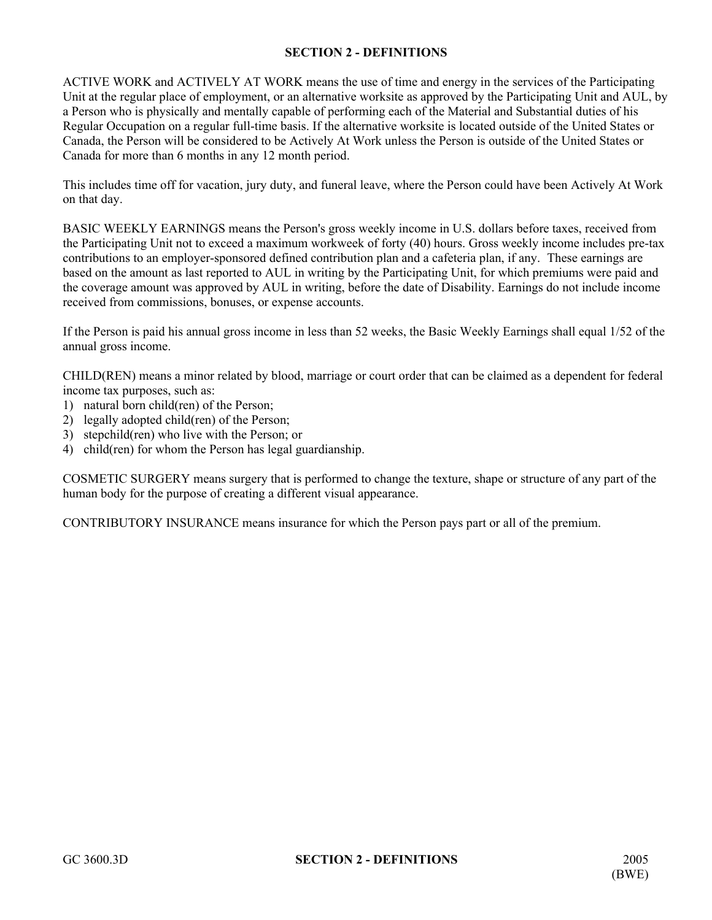ACTIVE WORK and ACTIVELY AT WORK means the use of time and energy in the services of the Participating Unit at the regular place of employment, or an alternative worksite as approved by the Participating Unit and AUL, by a Person who is physically and mentally capable of performing each of the Material and Substantial duties of his Regular Occupation on a regular full-time basis. If the alternative worksite is located outside of the United States or Canada, the Person will be considered to be Actively At Work unless the Person is outside of the United States or Canada for more than 6 months in any 12 month period.

This includes time off for vacation, jury duty, and funeral leave, where the Person could have been Actively At Work on that day.

BASIC WEEKLY EARNINGS means the Person's gross weekly income in U.S. dollars before taxes, received from the Participating Unit not to exceed a maximum workweek of forty (40) hours. Gross weekly income includes pre-tax contributions to an employer-sponsored defined contribution plan and a cafeteria plan, if any. These earnings are based on the amount as last reported to AUL in writing by the Participating Unit, for which premiums were paid and the coverage amount was approved by AUL in writing, before the date of Disability. Earnings do not include income received from commissions, bonuses, or expense accounts.

If the Person is paid his annual gross income in less than 52 weeks, the Basic Weekly Earnings shall equal 1/52 of the annual gross income.

CHILD(REN) means a minor related by blood, marriage or court order that can be claimed as a dependent for federal income tax purposes, such as:

- 1) natural born child(ren) of the Person;
- 2) legally adopted child(ren) of the Person;
- 3) stepchild(ren) who live with the Person; or
- 4) child(ren) for whom the Person has legal guardianship.

COSMETIC SURGERY means surgery that is performed to change the texture, shape or structure of any part of the human body for the purpose of creating a different visual appearance.

CONTRIBUTORY INSURANCE means insurance for which the Person pays part or all of the premium.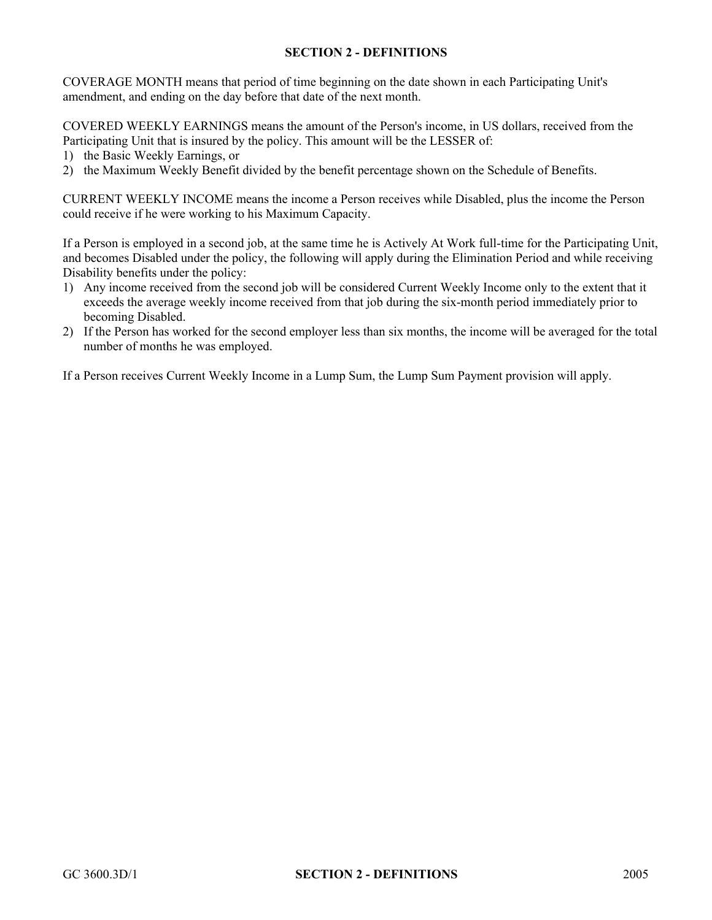COVERAGE MONTH means that period of time beginning on the date shown in each Participating Unit's amendment, and ending on the day before that date of the next month.

COVERED WEEKLY EARNINGS means the amount of the Person's income, in US dollars, received from the Participating Unit that is insured by the policy. This amount will be the LESSER of:

- 1) the Basic Weekly Earnings, or
- 2) the Maximum Weekly Benefit divided by the benefit percentage shown on the Schedule of Benefits.

CURRENT WEEKLY INCOME means the income a Person receives while Disabled, plus the income the Person could receive if he were working to his Maximum Capacity.

If a Person is employed in a second job, at the same time he is Actively At Work full-time for the Participating Unit, and becomes Disabled under the policy, the following will apply during the Elimination Period and while receiving Disability benefits under the policy:

- 1) Any income received from the second job will be considered Current Weekly Income only to the extent that it exceeds the average weekly income received from that job during the six-month period immediately prior to becoming Disabled.
- 2) If the Person has worked for the second employer less than six months, the income will be averaged for the total number of months he was employed.

If a Person receives Current Weekly Income in a Lump Sum, the Lump Sum Payment provision will apply.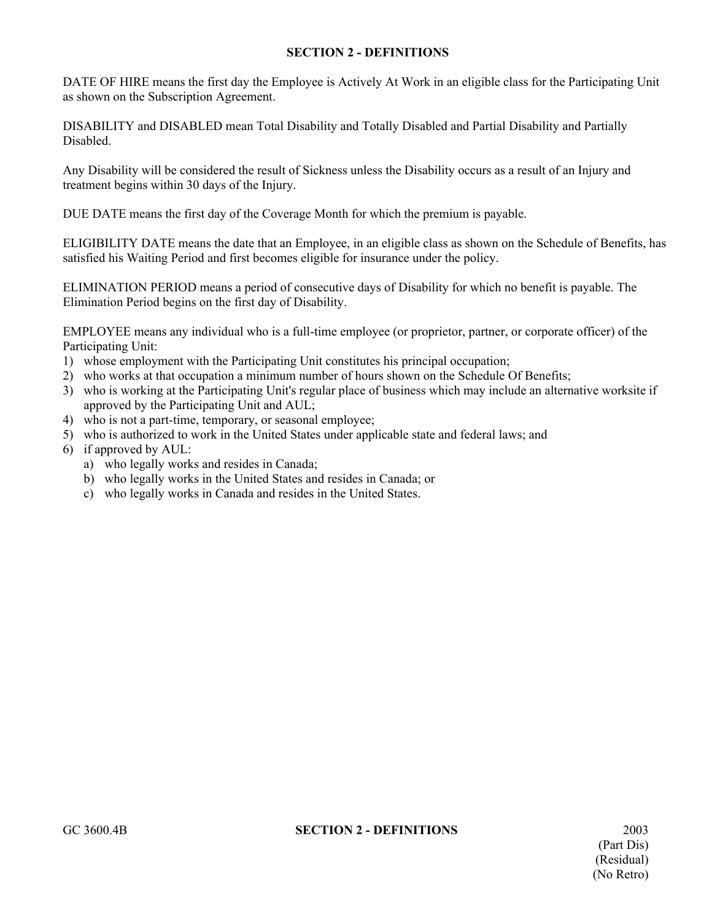DATE OF HIRE means the first day the Employee is Actively At Work in an eligible class for the Participating Unit as shown on the Subscription Agreement.

DISABILITY and DISABLED mean Total Disability and Totally Disabled and Partial Disability and Partially Disabled.

Any Disability will be considered the result of Sickness unless the Disability occurs as a result of an Injury and treatment begins within 30 days of the Injury.

DUE DATE means the first day of the Coverage Month for which the premium is payable.

ELIGIBILITY DATE means the date that an Employee, in an eligible class as shown on the Schedule of Benefits, has satisfied his Waiting Period and first becomes eligible for insurance under the policy.

ELIMINATION PERIOD means a period of consecutive days of Disability for which no benefit is payable. The Elimination Period begins on the first day of Disability.

EMPLOYEE means any individual who is a full-time employee (or proprietor, partner, or corporate officer) of the Participating Unit:

- 1) whose employment with the Participating Unit constitutes his principal occupation;
- 2) who works at that occupation a minimum number of hours shown on the Schedule Of Benefits;
- 3) who is working at the Participating Unit's regular place of business which may include an alternative worksite if approved by the Participating Unit and AUL;
- 4) who is not a part-time, temporary, or seasonal employee;
- 5) who is authorized to work in the United States under applicable state and federal laws; and
- 6) if approved by AUL:
	- a) who legally works and resides in Canada;
	- b) who legally works in the United States and resides in Canada; or
	- c) who legally works in Canada and resides in the United States.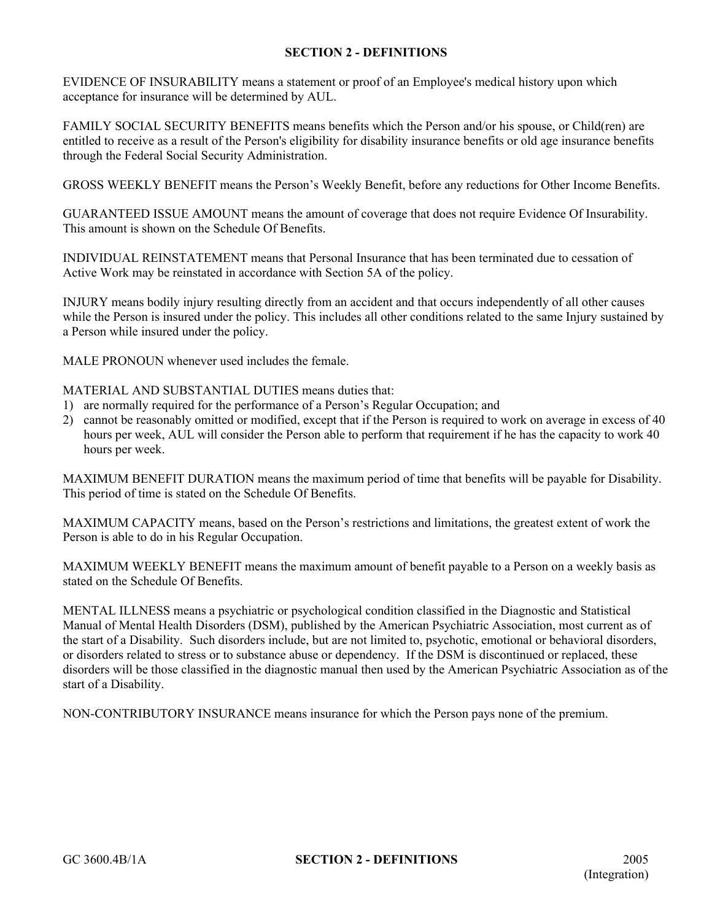EVIDENCE OF INSURABILITY means a statement or proof of an Employee's medical history upon which acceptance for insurance will be determined by AUL.

FAMILY SOCIAL SECURITY BENEFITS means benefits which the Person and/or his spouse, or Child(ren) are entitled to receive as a result of the Person's eligibility for disability insurance benefits or old age insurance benefits through the Federal Social Security Administration.

GROSS WEEKLY BENEFIT means the Person's Weekly Benefit, before any reductions for Other Income Benefits.

GUARANTEED ISSUE AMOUNT means the amount of coverage that does not require Evidence Of Insurability. This amount is shown on the Schedule Of Benefits.

INDIVIDUAL REINSTATEMENT means that Personal Insurance that has been terminated due to cessation of Active Work may be reinstated in accordance with Section 5A of the policy.

INJURY means bodily injury resulting directly from an accident and that occurs independently of all other causes while the Person is insured under the policy. This includes all other conditions related to the same Injury sustained by a Person while insured under the policy.

MALE PRONOUN whenever used includes the female.

MATERIAL AND SUBSTANTIAL DUTIES means duties that:

- 1) are normally required for the performance of a Person's Regular Occupation; and
- 2) cannot be reasonably omitted or modified, except that if the Person is required to work on average in excess of 40 hours per week, AUL will consider the Person able to perform that requirement if he has the capacity to work 40 hours per week.

MAXIMUM BENEFIT DURATION means the maximum period of time that benefits will be payable for Disability. This period of time is stated on the Schedule Of Benefits.

MAXIMUM CAPACITY means, based on the Person's restrictions and limitations, the greatest extent of work the Person is able to do in his Regular Occupation.

MAXIMUM WEEKLY BENEFIT means the maximum amount of benefit payable to a Person on a weekly basis as stated on the Schedule Of Benefits.

MENTAL ILLNESS means a psychiatric or psychological condition classified in the Diagnostic and Statistical Manual of Mental Health Disorders (DSM), published by the American Psychiatric Association, most current as of the start of a Disability. Such disorders include, but are not limited to, psychotic, emotional or behavioral disorders, or disorders related to stress or to substance abuse or dependency. If the DSM is discontinued or replaced, these disorders will be those classified in the diagnostic manual then used by the American Psychiatric Association as of the start of a Disability.

NON-CONTRIBUTORY INSURANCE means insurance for which the Person pays none of the premium.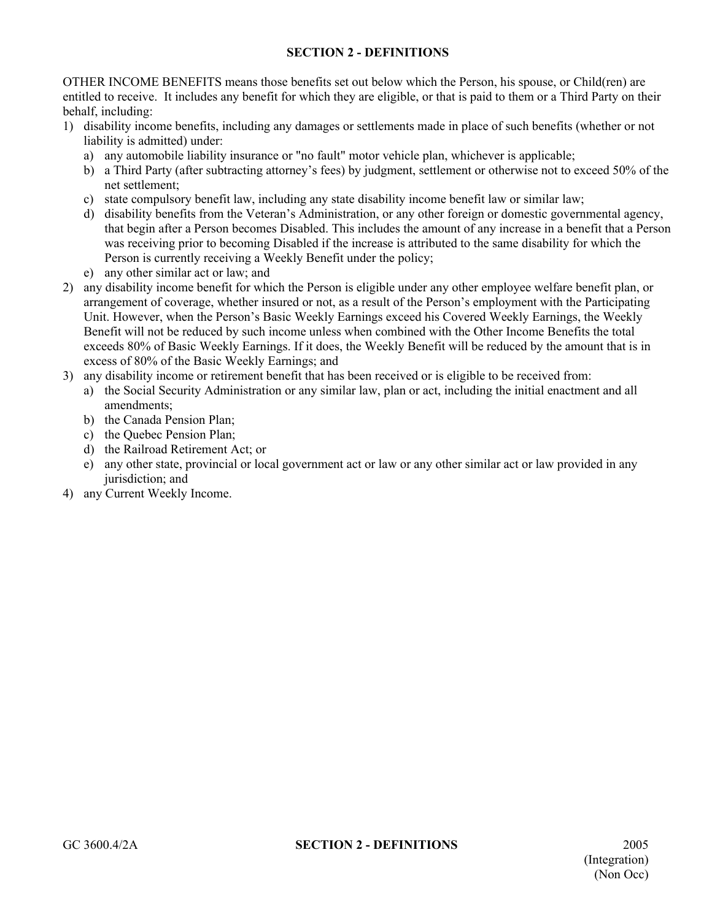OTHER INCOME BENEFITS means those benefits set out below which the Person, his spouse, or Child(ren) are entitled to receive. It includes any benefit for which they are eligible, or that is paid to them or a Third Party on their behalf, including:

- 1) disability income benefits, including any damages or settlements made in place of such benefits (whether or not liability is admitted) under:
	- a) any automobile liability insurance or "no fault" motor vehicle plan, whichever is applicable;
	- b) a Third Party (after subtracting attorney's fees) by judgment, settlement or otherwise not to exceed 50% of the net settlement;
	- c) state compulsory benefit law, including any state disability income benefit law or similar law;
	- d) disability benefits from the Veteran's Administration, or any other foreign or domestic governmental agency, that begin after a Person becomes Disabled. This includes the amount of any increase in a benefit that a Person was receiving prior to becoming Disabled if the increase is attributed to the same disability for which the Person is currently receiving a Weekly Benefit under the policy;
	- e) any other similar act or law; and
- 2) any disability income benefit for which the Person is eligible under any other employee welfare benefit plan, or arrangement of coverage, whether insured or not, as a result of the Person's employment with the Participating Unit. However, when the Person's Basic Weekly Earnings exceed his Covered Weekly Earnings, the Weekly Benefit will not be reduced by such income unless when combined with the Other Income Benefits the total exceeds 80% of Basic Weekly Earnings. If it does, the Weekly Benefit will be reduced by the amount that is in excess of 80% of the Basic Weekly Earnings; and
- 3) any disability income or retirement benefit that has been received or is eligible to be received from:
	- a) the Social Security Administration or any similar law, plan or act, including the initial enactment and all amendments;
	- b) the Canada Pension Plan;
	- c) the Quebec Pension Plan;
	- d) the Railroad Retirement Act; or
	- e) any other state, provincial or local government act or law or any other similar act or law provided in any jurisdiction; and
- 4) any Current Weekly Income.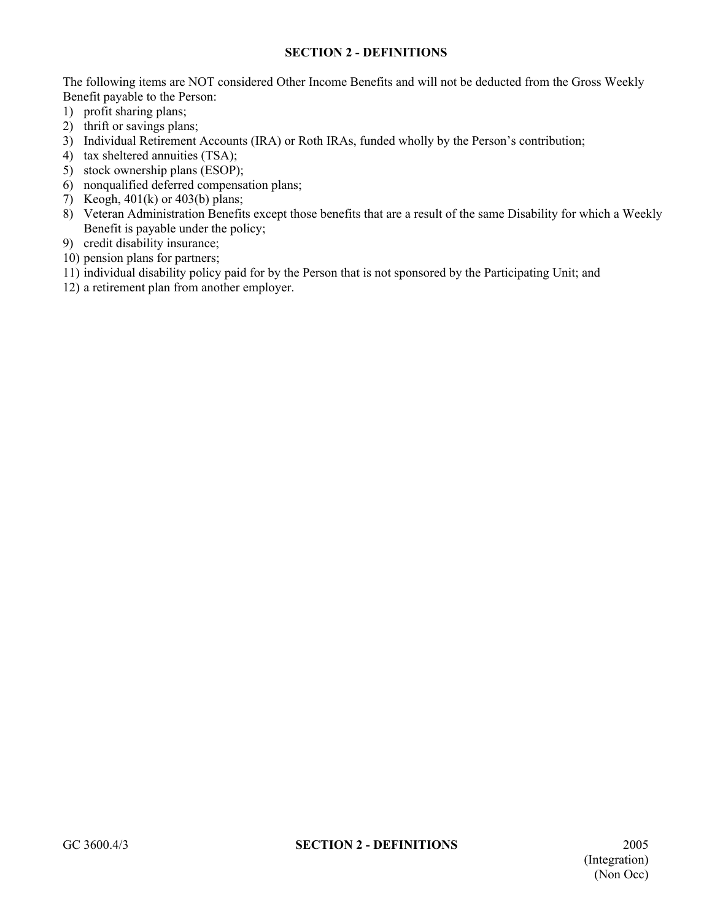The following items are NOT considered Other Income Benefits and will not be deducted from the Gross Weekly Benefit payable to the Person:

- 1) profit sharing plans;
- 2) thrift or savings plans;
- 3) Individual Retirement Accounts (IRA) or Roth IRAs, funded wholly by the Person's contribution;
- 4) tax sheltered annuities (TSA);
- 5) stock ownership plans (ESOP);
- 6) nonqualified deferred compensation plans;
- 7) Keogh, 401(k) or 403(b) plans;
- 8) Veteran Administration Benefits except those benefits that are a result of the same Disability for which a Weekly Benefit is payable under the policy;
- 9) credit disability insurance;
- 10) pension plans for partners;
- 11) individual disability policy paid for by the Person that is not sponsored by the Participating Unit; and
- 12) a retirement plan from another employer.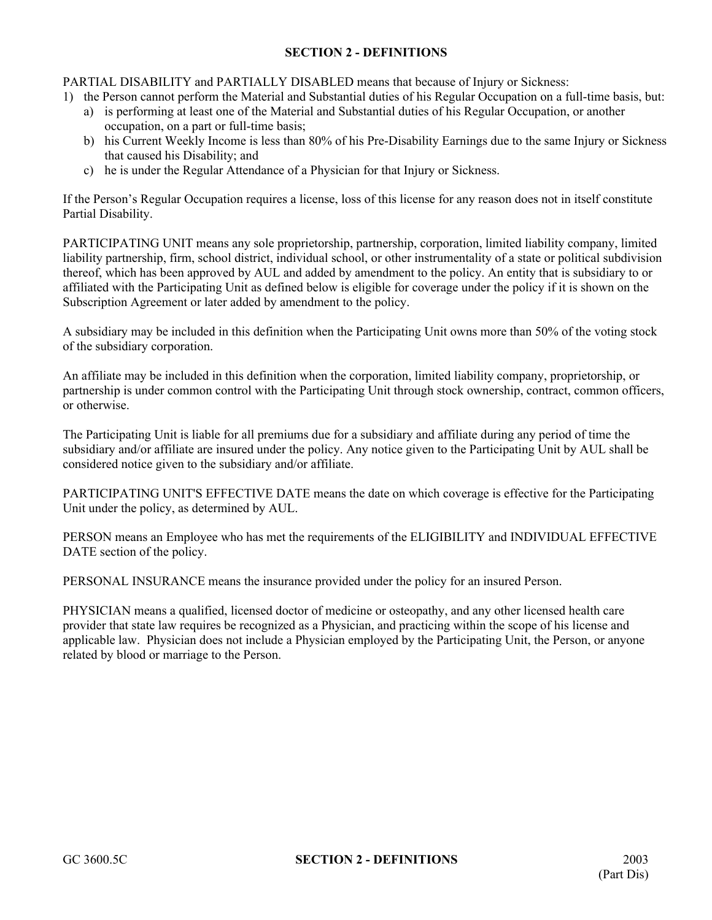PARTIAL DISABILITY and PARTIALLY DISABLED means that because of Injury or Sickness:

- 1) the Person cannot perform the Material and Substantial duties of his Regular Occupation on a full-time basis, but:
	- a) is performing at least one of the Material and Substantial duties of his Regular Occupation, or another occupation, on a part or full-time basis;
	- b) his Current Weekly Income is less than 80% of his Pre-Disability Earnings due to the same Injury or Sickness that caused his Disability; and
	- c) he is under the Regular Attendance of a Physician for that Injury or Sickness.

If the Person's Regular Occupation requires a license, loss of this license for any reason does not in itself constitute Partial Disability.

PARTICIPATING UNIT means any sole proprietorship, partnership, corporation, limited liability company, limited liability partnership, firm, school district, individual school, or other instrumentality of a state or political subdivision thereof, which has been approved by AUL and added by amendment to the policy. An entity that is subsidiary to or affiliated with the Participating Unit as defined below is eligible for coverage under the policy if it is shown on the Subscription Agreement or later added by amendment to the policy.

A subsidiary may be included in this definition when the Participating Unit owns more than 50% of the voting stock of the subsidiary corporation.

An affiliate may be included in this definition when the corporation, limited liability company, proprietorship, or partnership is under common control with the Participating Unit through stock ownership, contract, common officers, or otherwise.

The Participating Unit is liable for all premiums due for a subsidiary and affiliate during any period of time the subsidiary and/or affiliate are insured under the policy. Any notice given to the Participating Unit by AUL shall be considered notice given to the subsidiary and/or affiliate.

PARTICIPATING UNIT'S EFFECTIVE DATE means the date on which coverage is effective for the Participating Unit under the policy, as determined by AUL.

PERSON means an Employee who has met the requirements of the ELIGIBILITY and INDIVIDUAL EFFECTIVE DATE section of the policy.

PERSONAL INSURANCE means the insurance provided under the policy for an insured Person.

PHYSICIAN means a qualified, licensed doctor of medicine or osteopathy, and any other licensed health care provider that state law requires be recognized as a Physician, and practicing within the scope of his license and applicable law. Physician does not include a Physician employed by the Participating Unit, the Person, or anyone related by blood or marriage to the Person.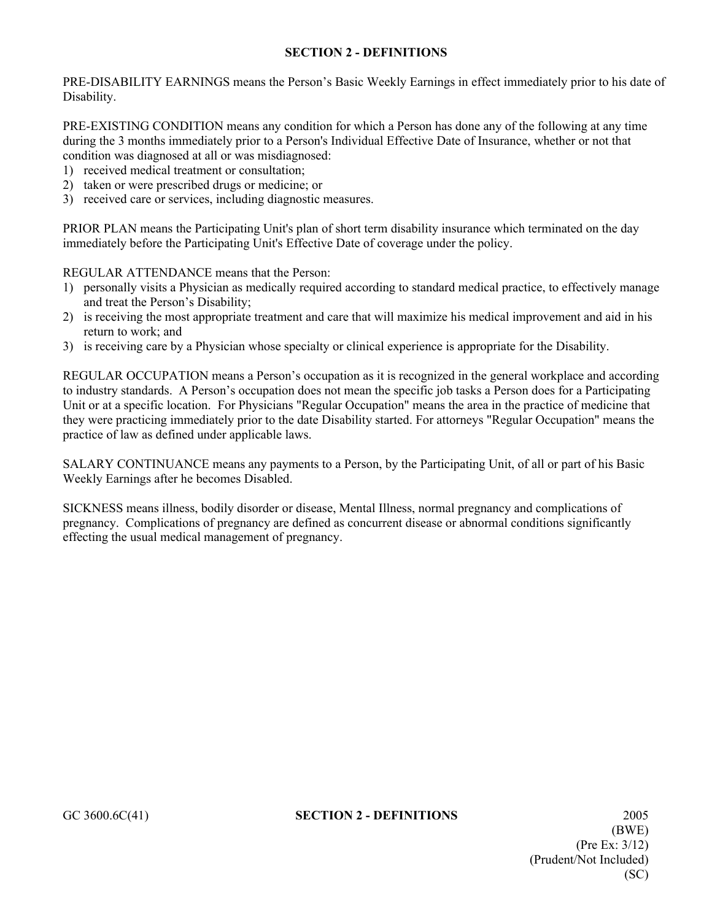PRE-DISABILITY EARNINGS means the Person's Basic Weekly Earnings in effect immediately prior to his date of Disability.

PRE-EXISTING CONDITION means any condition for which a Person has done any of the following at any time during the 3 months immediately prior to a Person's Individual Effective Date of Insurance, whether or not that condition was diagnosed at all or was misdiagnosed:

- 1) received medical treatment or consultation;
- 2) taken or were prescribed drugs or medicine; or
- 3) received care or services, including diagnostic measures.

PRIOR PLAN means the Participating Unit's plan of short term disability insurance which terminated on the day immediately before the Participating Unit's Effective Date of coverage under the policy.

REGULAR ATTENDANCE means that the Person:

- 1) personally visits a Physician as medically required according to standard medical practice, to effectively manage and treat the Person's Disability;
- 2) is receiving the most appropriate treatment and care that will maximize his medical improvement and aid in his return to work; and
- 3) is receiving care by a Physician whose specialty or clinical experience is appropriate for the Disability.

REGULAR OCCUPATION means a Person's occupation as it is recognized in the general workplace and according to industry standards. A Person's occupation does not mean the specific job tasks a Person does for a Participating Unit or at a specific location. For Physicians "Regular Occupation" means the area in the practice of medicine that they were practicing immediately prior to the date Disability started. For attorneys "Regular Occupation" means the practice of law as defined under applicable laws.

SALARY CONTINUANCE means any payments to a Person, by the Participating Unit, of all or part of his Basic Weekly Earnings after he becomes Disabled.

SICKNESS means illness, bodily disorder or disease, Mental Illness, normal pregnancy and complications of pregnancy. Complications of pregnancy are defined as concurrent disease or abnormal conditions significantly effecting the usual medical management of pregnancy.

#### GC 3600.6C(41) **SECTION 2 - DEFINITIONS** 2005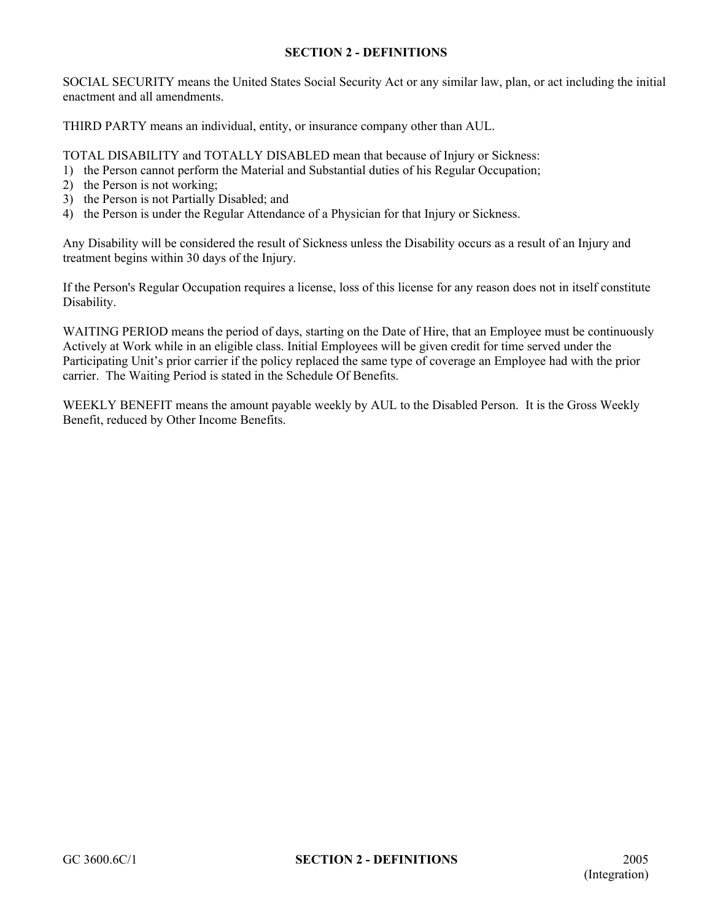SOCIAL SECURITY means the United States Social Security Act or any similar law, plan, or act including the initial enactment and all amendments.

THIRD PARTY means an individual, entity, or insurance company other than AUL.

TOTAL DISABILITY and TOTALLY DISABLED mean that because of Injury or Sickness:

- 1) the Person cannot perform the Material and Substantial duties of his Regular Occupation;
- 2) the Person is not working;
- 3) the Person is not Partially Disabled; and
- 4) the Person is under the Regular Attendance of a Physician for that Injury or Sickness.

Any Disability will be considered the result of Sickness unless the Disability occurs as a result of an Injury and treatment begins within 30 days of the Injury.

If the Person's Regular Occupation requires a license, loss of this license for any reason does not in itself constitute Disability.

WAITING PERIOD means the period of days, starting on the Date of Hire, that an Employee must be continuously Actively at Work while in an eligible class. Initial Employees will be given credit for time served under the Participating Unit's prior carrier if the policy replaced the same type of coverage an Employee had with the prior carrier. The Waiting Period is stated in the Schedule Of Benefits.

WEEKLY BENEFIT means the amount payable weekly by AUL to the Disabled Person. It is the Gross Weekly Benefit, reduced by Other Income Benefits.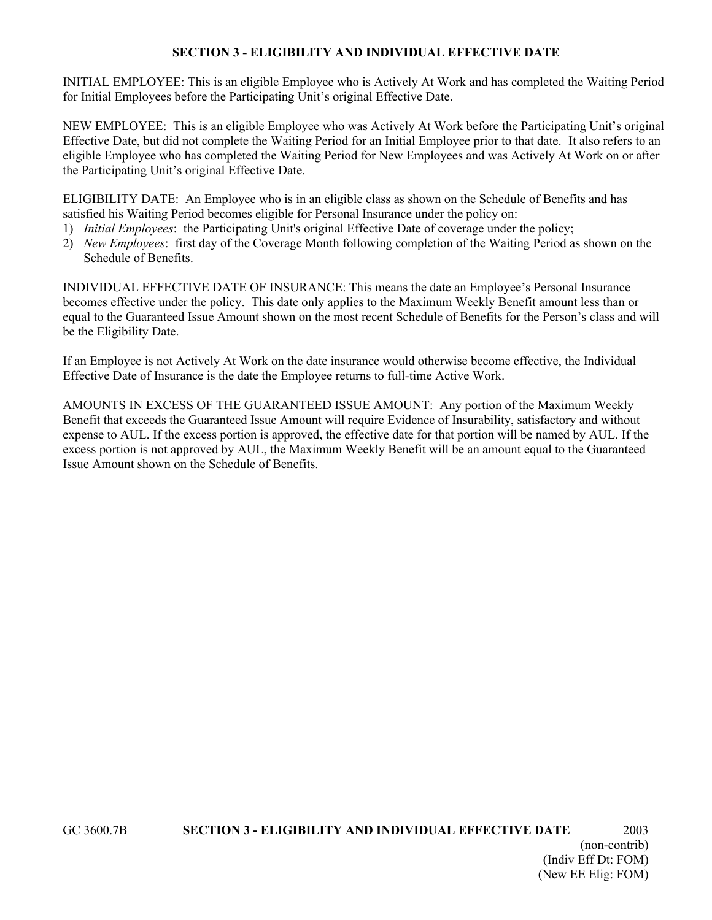#### **SECTION 3 - ELIGIBILITY AND INDIVIDUAL EFFECTIVE DATE**

INITIAL EMPLOYEE: This is an eligible Employee who is Actively At Work and has completed the Waiting Period for Initial Employees before the Participating Unit's original Effective Date.

NEW EMPLOYEE: This is an eligible Employee who was Actively At Work before the Participating Unit's original Effective Date, but did not complete the Waiting Period for an Initial Employee prior to that date. It also refers to an eligible Employee who has completed the Waiting Period for New Employees and was Actively At Work on or after the Participating Unit's original Effective Date.

ELIGIBILITY DATE: An Employee who is in an eligible class as shown on the Schedule of Benefits and has satisfied his Waiting Period becomes eligible for Personal Insurance under the policy on:

- 1) *Initial Employees*: the Participating Unit's original Effective Date of coverage under the policy;
- 2) *New Employees*: first day of the Coverage Month following completion of the Waiting Period as shown on the Schedule of Benefits.

INDIVIDUAL EFFECTIVE DATE OF INSURANCE: This means the date an Employee's Personal Insurance becomes effective under the policy. This date only applies to the Maximum Weekly Benefit amount less than or equal to the Guaranteed Issue Amount shown on the most recent Schedule of Benefits for the Person's class and will be the Eligibility Date.

If an Employee is not Actively At Work on the date insurance would otherwise become effective, the Individual Effective Date of Insurance is the date the Employee returns to full-time Active Work.

AMOUNTS IN EXCESS OF THE GUARANTEED ISSUE AMOUNT: Any portion of the Maximum Weekly Benefit that exceeds the Guaranteed Issue Amount will require Evidence of Insurability, satisfactory and without expense to AUL. If the excess portion is approved, the effective date for that portion will be named by AUL. If the excess portion is not approved by AUL, the Maximum Weekly Benefit will be an amount equal to the Guaranteed Issue Amount shown on the Schedule of Benefits.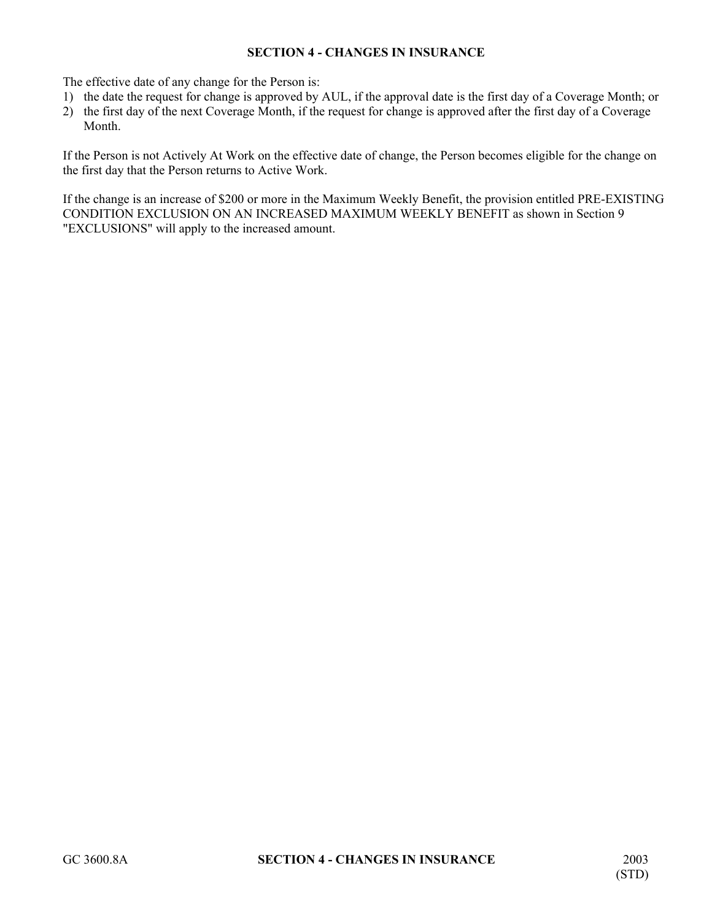#### **SECTION 4 - CHANGES IN INSURANCE**

The effective date of any change for the Person is:

- 1) the date the request for change is approved by AUL, if the approval date is the first day of a Coverage Month; or
- 2) the first day of the next Coverage Month, if the request for change is approved after the first day of a Coverage Month.

If the Person is not Actively At Work on the effective date of change, the Person becomes eligible for the change on the first day that the Person returns to Active Work.

If the change is an increase of \$200 or more in the Maximum Weekly Benefit, the provision entitled PRE-EXISTING CONDITION EXCLUSION ON AN INCREASED MAXIMUM WEEKLY BENEFIT as shown in Section 9 "EXCLUSIONS" will apply to the increased amount.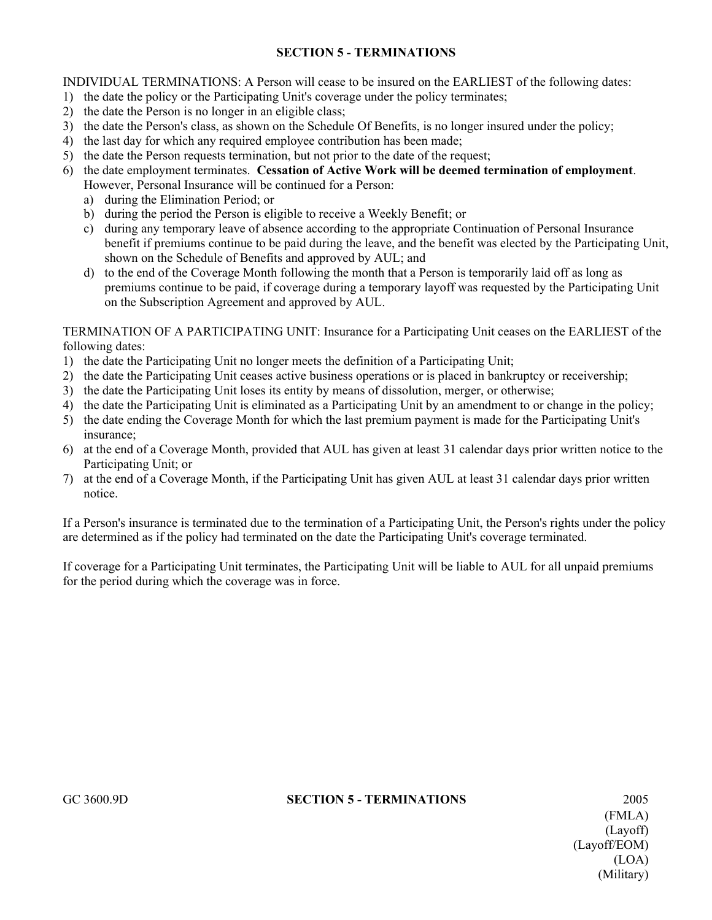#### **SECTION 5 - TERMINATIONS**

INDIVIDUAL TERMINATIONS: A Person will cease to be insured on the EARLIEST of the following dates:

- 1) the date the policy or the Participating Unit's coverage under the policy terminates;
- 2) the date the Person is no longer in an eligible class;
- 3) the date the Person's class, as shown on the Schedule Of Benefits, is no longer insured under the policy;
- 4) the last day for which any required employee contribution has been made;
- 5) the date the Person requests termination, but not prior to the date of the request;
- 6) the date employment terminates. **Cessation of Active Work will be deemed termination of employment**. However, Personal Insurance will be continued for a Person:
	- a) during the Elimination Period; or
	- b) during the period the Person is eligible to receive a Weekly Benefit; or
	- c) during any temporary leave of absence according to the appropriate Continuation of Personal Insurance benefit if premiums continue to be paid during the leave, and the benefit was elected by the Participating Unit, shown on the Schedule of Benefits and approved by AUL; and
	- d) to the end of the Coverage Month following the month that a Person is temporarily laid off as long as premiums continue to be paid, if coverage during a temporary layoff was requested by the Participating Unit on the Subscription Agreement and approved by AUL.

TERMINATION OF A PARTICIPATING UNIT: Insurance for a Participating Unit ceases on the EARLIEST of the following dates:

- 1) the date the Participating Unit no longer meets the definition of a Participating Unit;
- 2) the date the Participating Unit ceases active business operations or is placed in bankruptcy or receivership;
- 3) the date the Participating Unit loses its entity by means of dissolution, merger, or otherwise;
- 4) the date the Participating Unit is eliminated as a Participating Unit by an amendment to or change in the policy;
- 5) the date ending the Coverage Month for which the last premium payment is made for the Participating Unit's insurance;
- 6) at the end of a Coverage Month, provided that AUL has given at least 31 calendar days prior written notice to the Participating Unit; or
- 7) at the end of a Coverage Month, if the Participating Unit has given AUL at least 31 calendar days prior written notice.

If a Person's insurance is terminated due to the termination of a Participating Unit, the Person's rights under the policy are determined as if the policy had terminated on the date the Participating Unit's coverage terminated.

If coverage for a Participating Unit terminates, the Participating Unit will be liable to AUL for all unpaid premiums for the period during which the coverage was in force.

#### GC 3600.9D **SECTION 5 - TERMINATIONS** 2005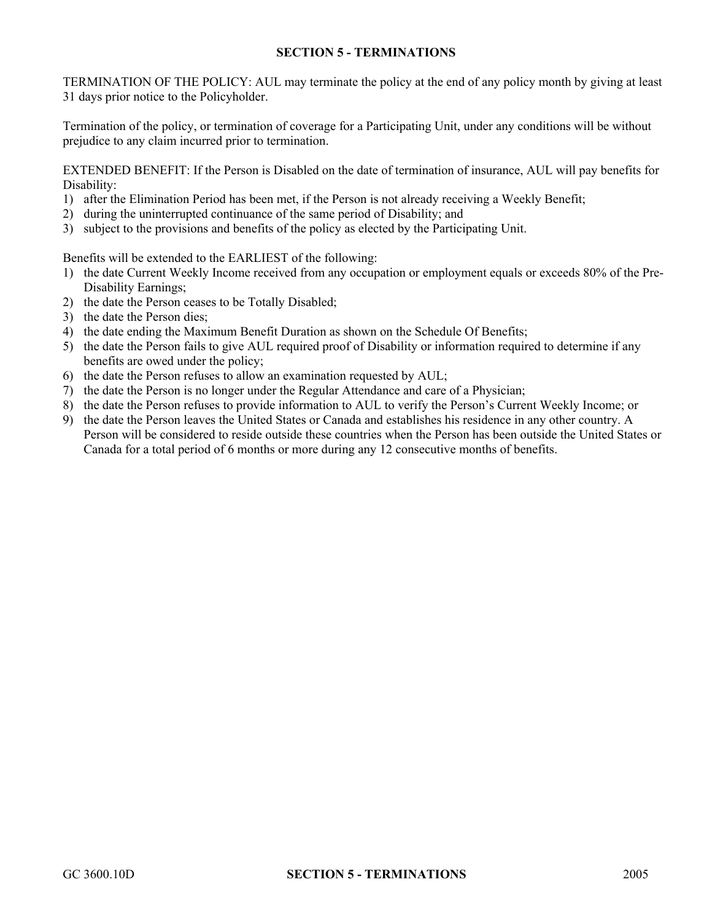#### **SECTION 5 - TERMINATIONS**

TERMINATION OF THE POLICY: AUL may terminate the policy at the end of any policy month by giving at least 31 days prior notice to the Policyholder.

Termination of the policy, or termination of coverage for a Participating Unit, under any conditions will be without prejudice to any claim incurred prior to termination.

EXTENDED BENEFIT: If the Person is Disabled on the date of termination of insurance, AUL will pay benefits for Disability:

- 1) after the Elimination Period has been met, if the Person is not already receiving a Weekly Benefit;
- 2) during the uninterrupted continuance of the same period of Disability; and
- 3) subject to the provisions and benefits of the policy as elected by the Participating Unit.

Benefits will be extended to the EARLIEST of the following:

- 1) the date Current Weekly Income received from any occupation or employment equals or exceeds 80% of the Pre-Disability Earnings;
- 2) the date the Person ceases to be Totally Disabled;
- 3) the date the Person dies;
- 4) the date ending the Maximum Benefit Duration as shown on the Schedule Of Benefits;
- 5) the date the Person fails to give AUL required proof of Disability or information required to determine if any benefits are owed under the policy;
- 6) the date the Person refuses to allow an examination requested by AUL;
- 7) the date the Person is no longer under the Regular Attendance and care of a Physician;
- 8) the date the Person refuses to provide information to AUL to verify the Person's Current Weekly Income; or
- 9) the date the Person leaves the United States or Canada and establishes his residence in any other country. A Person will be considered to reside outside these countries when the Person has been outside the United States or Canada for a total period of 6 months or more during any 12 consecutive months of benefits.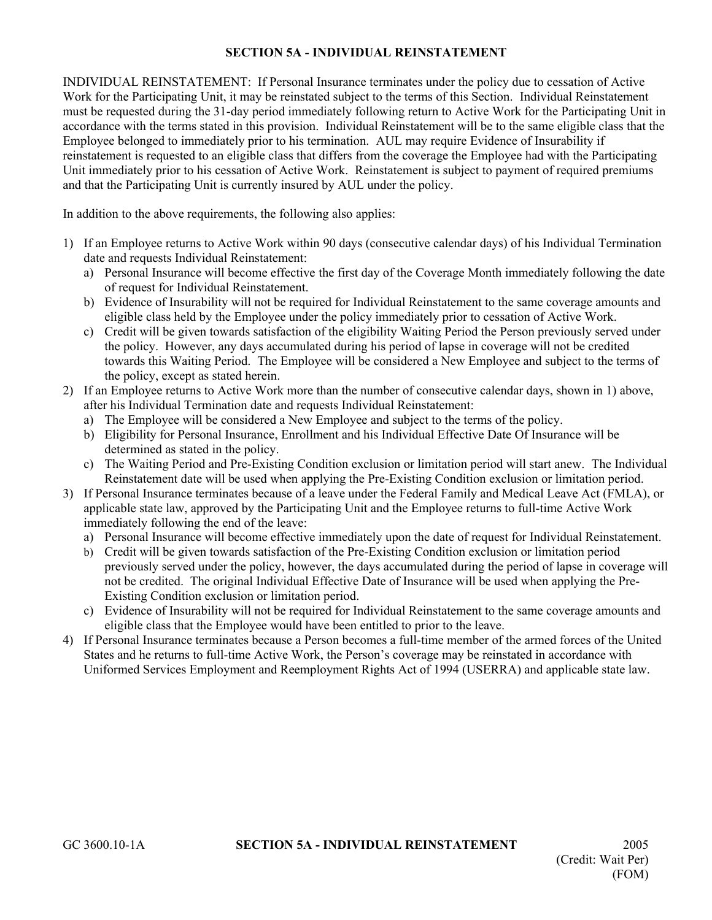#### **SECTION 5A - INDIVIDUAL REINSTATEMENT**

INDIVIDUAL REINSTATEMENT: If Personal Insurance terminates under the policy due to cessation of Active Work for the Participating Unit, it may be reinstated subject to the terms of this Section. Individual Reinstatement must be requested during the 31-day period immediately following return to Active Work for the Participating Unit in accordance with the terms stated in this provision. Individual Reinstatement will be to the same eligible class that the Employee belonged to immediately prior to his termination. AUL may require Evidence of Insurability if reinstatement is requested to an eligible class that differs from the coverage the Employee had with the Participating Unit immediately prior to his cessation of Active Work. Reinstatement is subject to payment of required premiums and that the Participating Unit is currently insured by AUL under the policy.

In addition to the above requirements, the following also applies:

- 1) If an Employee returns to Active Work within 90 days (consecutive calendar days) of his Individual Termination date and requests Individual Reinstatement:
	- a) Personal Insurance will become effective the first day of the Coverage Month immediately following the date of request for Individual Reinstatement.
	- b) Evidence of Insurability will not be required for Individual Reinstatement to the same coverage amounts and eligible class held by the Employee under the policy immediately prior to cessation of Active Work.
	- c) Credit will be given towards satisfaction of the eligibility Waiting Period the Person previously served under the policy. However, any days accumulated during his period of lapse in coverage will not be credited towards this Waiting Period. The Employee will be considered a New Employee and subject to the terms of the policy, except as stated herein.
- 2) If an Employee returns to Active Work more than the number of consecutive calendar days, shown in 1) above, after his Individual Termination date and requests Individual Reinstatement:
	- a) The Employee will be considered a New Employee and subject to the terms of the policy.
	- b) Eligibility for Personal Insurance, Enrollment and his Individual Effective Date Of Insurance will be determined as stated in the policy.
	- c) The Waiting Period and Pre-Existing Condition exclusion or limitation period will start anew. The Individual Reinstatement date will be used when applying the Pre-Existing Condition exclusion or limitation period.
- 3) If Personal Insurance terminates because of a leave under the Federal Family and Medical Leave Act (FMLA), or applicable state law, approved by the Participating Unit and the Employee returns to full-time Active Work immediately following the end of the leave:
	- a) Personal Insurance will become effective immediately upon the date of request for Individual Reinstatement.
	- b) Credit will be given towards satisfaction of the Pre-Existing Condition exclusion or limitation period previously served under the policy, however, the days accumulated during the period of lapse in coverage will not be credited. The original Individual Effective Date of Insurance will be used when applying the Pre-Existing Condition exclusion or limitation period.
	- c) Evidence of Insurability will not be required for Individual Reinstatement to the same coverage amounts and eligible class that the Employee would have been entitled to prior to the leave.
- 4) If Personal Insurance terminates because a Person becomes a full-time member of the armed forces of the United States and he returns to full-time Active Work, the Person's coverage may be reinstated in accordance with Uniformed Services Employment and Reemployment Rights Act of 1994 (USERRA) and applicable state law.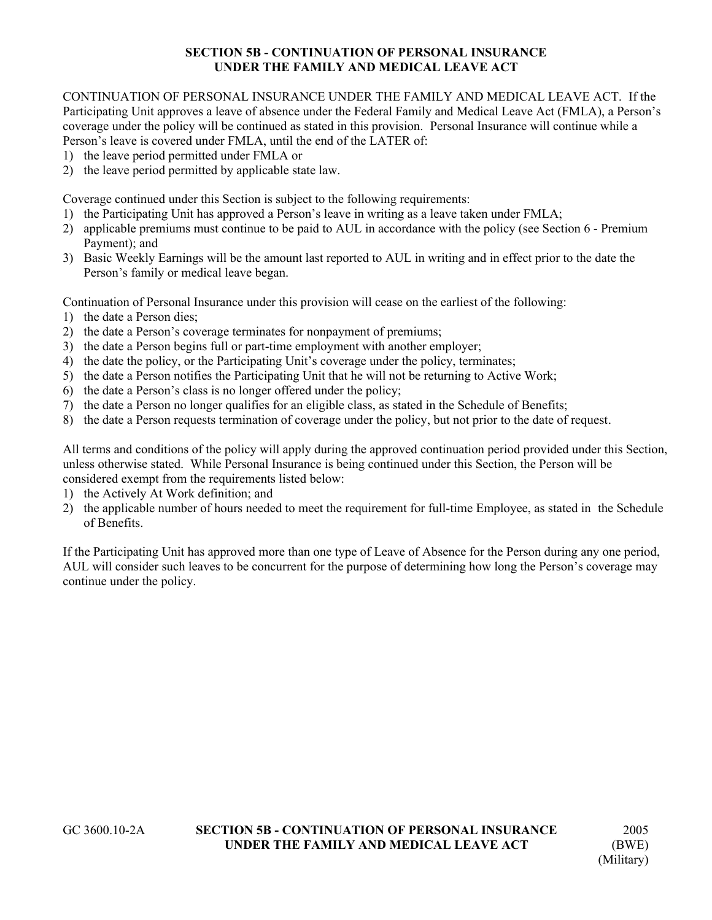### **SECTION 5B - CONTINUATION OF PERSONAL INSURANCE UNDER THE FAMILY AND MEDICAL LEAVE ACT**

CONTINUATION OF PERSONAL INSURANCE UNDER THE FAMILY AND MEDICAL LEAVE ACT. If the Participating Unit approves a leave of absence under the Federal Family and Medical Leave Act (FMLA), a Person's coverage under the policy will be continued as stated in this provision. Personal Insurance will continue while a Person's leave is covered under FMLA, until the end of the LATER of:

- 1) the leave period permitted under FMLA or
- 2) the leave period permitted by applicable state law.

Coverage continued under this Section is subject to the following requirements:

- 1) the Participating Unit has approved a Person's leave in writing as a leave taken under FMLA;
- 2) applicable premiums must continue to be paid to AUL in accordance with the policy (see Section 6 Premium Payment); and
- 3) Basic Weekly Earnings will be the amount last reported to AUL in writing and in effect prior to the date the Person's family or medical leave began.

Continuation of Personal Insurance under this provision will cease on the earliest of the following:

- 1) the date a Person dies;
- 2) the date a Person's coverage terminates for nonpayment of premiums;
- 3) the date a Person begins full or part-time employment with another employer;
- 4) the date the policy, or the Participating Unit's coverage under the policy, terminates;
- 5) the date a Person notifies the Participating Unit that he will not be returning to Active Work;
- 6) the date a Person's class is no longer offered under the policy;
- 7) the date a Person no longer qualifies for an eligible class, as stated in the Schedule of Benefits;
- 8) the date a Person requests termination of coverage under the policy, but not prior to the date of request.

All terms and conditions of the policy will apply during the approved continuation period provided under this Section, unless otherwise stated. While Personal Insurance is being continued under this Section, the Person will be considered exempt from the requirements listed below:

- 1) the Actively At Work definition; and
- 2) the applicable number of hours needed to meet the requirement for full-time Employee, as stated in the Schedule of Benefits.

If the Participating Unit has approved more than one type of Leave of Absence for the Person during any one period, AUL will consider such leaves to be concurrent for the purpose of determining how long the Person's coverage may continue under the policy.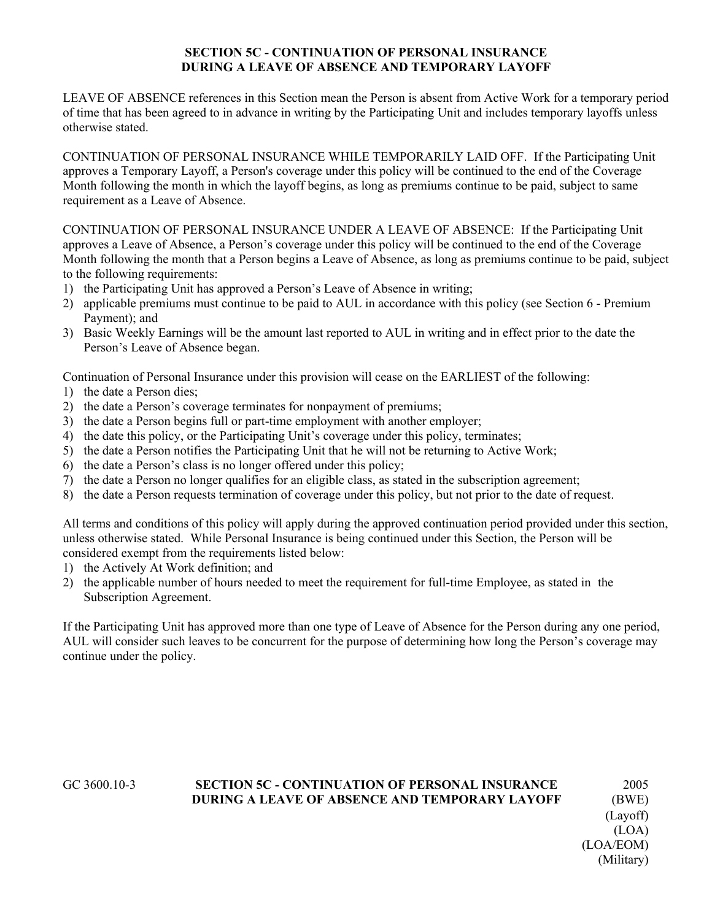#### **SECTION 5C - CONTINUATION OF PERSONAL INSURANCE DURING A LEAVE OF ABSENCE AND TEMPORARY LAYOFF**

LEAVE OF ABSENCE references in this Section mean the Person is absent from Active Work for a temporary period of time that has been agreed to in advance in writing by the Participating Unit and includes temporary layoffs unless otherwise stated.

CONTINUATION OF PERSONAL INSURANCE WHILE TEMPORARILY LAID OFF. If the Participating Unit approves a Temporary Layoff, a Person's coverage under this policy will be continued to the end of the Coverage Month following the month in which the layoff begins, as long as premiums continue to be paid, subject to same requirement as a Leave of Absence.

CONTINUATION OF PERSONAL INSURANCE UNDER A LEAVE OF ABSENCE: If the Participating Unit approves a Leave of Absence, a Person's coverage under this policy will be continued to the end of the Coverage Month following the month that a Person begins a Leave of Absence, as long as premiums continue to be paid, subject to the following requirements:

- 1) the Participating Unit has approved a Person's Leave of Absence in writing;
- 2) applicable premiums must continue to be paid to AUL in accordance with this policy (see Section 6 Premium Payment); and
- 3) Basic Weekly Earnings will be the amount last reported to AUL in writing and in effect prior to the date the Person's Leave of Absence began.

Continuation of Personal Insurance under this provision will cease on the EARLIEST of the following:

- 1) the date a Person dies;
- 2) the date a Person's coverage terminates for nonpayment of premiums;
- 3) the date a Person begins full or part-time employment with another employer;
- 4) the date this policy, or the Participating Unit's coverage under this policy, terminates;
- 5) the date a Person notifies the Participating Unit that he will not be returning to Active Work;
- 6) the date a Person's class is no longer offered under this policy;
- 7) the date a Person no longer qualifies for an eligible class, as stated in the subscription agreement;
- 8) the date a Person requests termination of coverage under this policy, but not prior to the date of request.

All terms and conditions of this policy will apply during the approved continuation period provided under this section, unless otherwise stated. While Personal Insurance is being continued under this Section, the Person will be considered exempt from the requirements listed below:

- 1) the Actively At Work definition; and
- 2) the applicable number of hours needed to meet the requirement for full-time Employee, as stated in the Subscription Agreement.

If the Participating Unit has approved more than one type of Leave of Absence for the Person during any one period, AUL will consider such leaves to be concurrent for the purpose of determining how long the Person's coverage may continue under the policy.

#### GC 3600.10-3 **SECTION 5C - CONTINUATION OF PERSONAL INSURANCE** 2005 **DURING A LEAVE OF ABSENCE AND TEMPORARY LAYOFF** (BWE) (Layoff) (LOA) (LOA/EOM) (Military)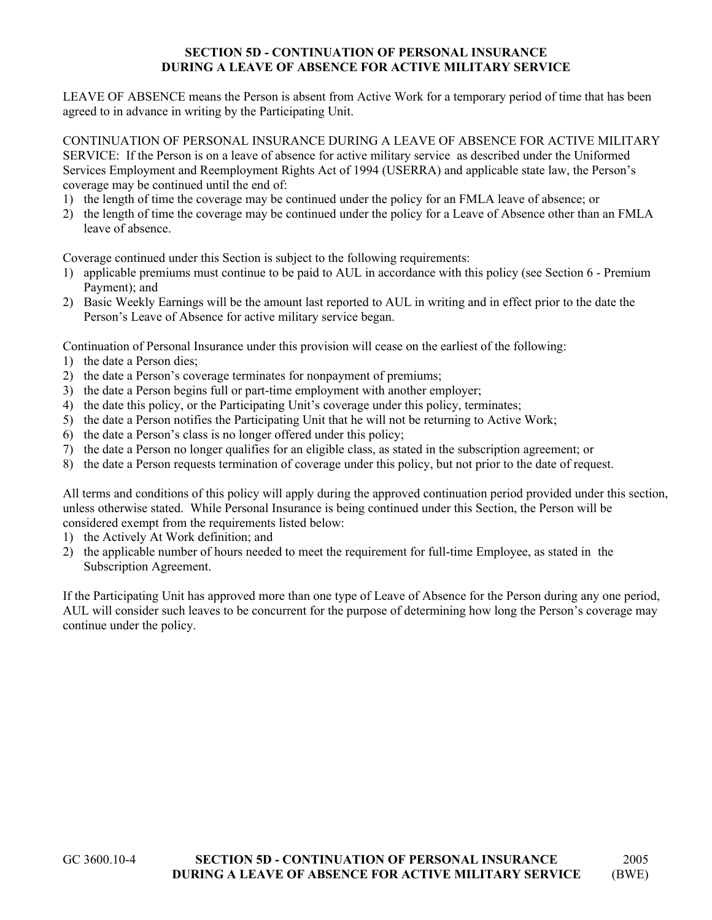#### **SECTION 5D - CONTINUATION OF PERSONAL INSURANCE DURING A LEAVE OF ABSENCE FOR ACTIVE MILITARY SERVICE**

LEAVE OF ABSENCE means the Person is absent from Active Work for a temporary period of time that has been agreed to in advance in writing by the Participating Unit.

CONTINUATION OF PERSONAL INSURANCE DURING A LEAVE OF ABSENCE FOR ACTIVE MILITARY SERVICE: If the Person is on a leave of absence for active military service as described under the Uniformed Services Employment and Reemployment Rights Act of 1994 (USERRA) and applicable state law, the Person's coverage may be continued until the end of:

- 1) the length of time the coverage may be continued under the policy for an FMLA leave of absence; or
- 2) the length of time the coverage may be continued under the policy for a Leave of Absence other than an FMLA leave of absence.

Coverage continued under this Section is subject to the following requirements:

- 1) applicable premiums must continue to be paid to AUL in accordance with this policy (see Section 6 Premium Payment); and
- 2) Basic Weekly Earnings will be the amount last reported to AUL in writing and in effect prior to the date the Person's Leave of Absence for active military service began.

Continuation of Personal Insurance under this provision will cease on the earliest of the following:

- 1) the date a Person dies;
- 2) the date a Person's coverage terminates for nonpayment of premiums;
- 3) the date a Person begins full or part-time employment with another employer;
- 4) the date this policy, or the Participating Unit's coverage under this policy, terminates;
- 5) the date a Person notifies the Participating Unit that he will not be returning to Active Work;
- 6) the date a Person's class is no longer offered under this policy;
- 7) the date a Person no longer qualifies for an eligible class, as stated in the subscription agreement; or
- 8) the date a Person requests termination of coverage under this policy, but not prior to the date of request.

All terms and conditions of this policy will apply during the approved continuation period provided under this section, unless otherwise stated. While Personal Insurance is being continued under this Section, the Person will be considered exempt from the requirements listed below:

- 1) the Actively At Work definition; and
- 2) the applicable number of hours needed to meet the requirement for full-time Employee, as stated in the Subscription Agreement.

If the Participating Unit has approved more than one type of Leave of Absence for the Person during any one period, AUL will consider such leaves to be concurrent for the purpose of determining how long the Person's coverage may continue under the policy.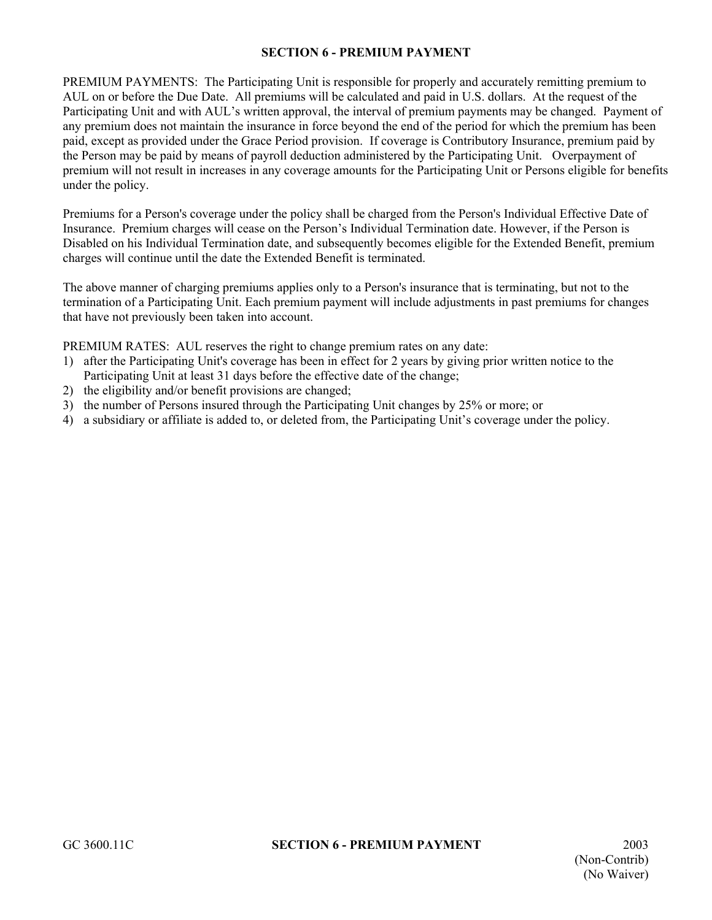#### **SECTION 6 - PREMIUM PAYMENT**

PREMIUM PAYMENTS: The Participating Unit is responsible for properly and accurately remitting premium to AUL on or before the Due Date. All premiums will be calculated and paid in U.S. dollars. At the request of the Participating Unit and with AUL's written approval, the interval of premium payments may be changed. Payment of any premium does not maintain the insurance in force beyond the end of the period for which the premium has been paid, except as provided under the Grace Period provision. If coverage is Contributory Insurance, premium paid by the Person may be paid by means of payroll deduction administered by the Participating Unit. Overpayment of premium will not result in increases in any coverage amounts for the Participating Unit or Persons eligible for benefits under the policy.

Premiums for a Person's coverage under the policy shall be charged from the Person's Individual Effective Date of Insurance. Premium charges will cease on the Person's Individual Termination date. However, if the Person is Disabled on his Individual Termination date, and subsequently becomes eligible for the Extended Benefit, premium charges will continue until the date the Extended Benefit is terminated.

The above manner of charging premiums applies only to a Person's insurance that is terminating, but not to the termination of a Participating Unit. Each premium payment will include adjustments in past premiums for changes that have not previously been taken into account.

PREMIUM RATES: AUL reserves the right to change premium rates on any date:

- 1) after the Participating Unit's coverage has been in effect for 2 years by giving prior written notice to the Participating Unit at least 31 days before the effective date of the change;
- 2) the eligibility and/or benefit provisions are changed;
- 3) the number of Persons insured through the Participating Unit changes by 25% or more; or
- 4) a subsidiary or affiliate is added to, or deleted from, the Participating Unit's coverage under the policy.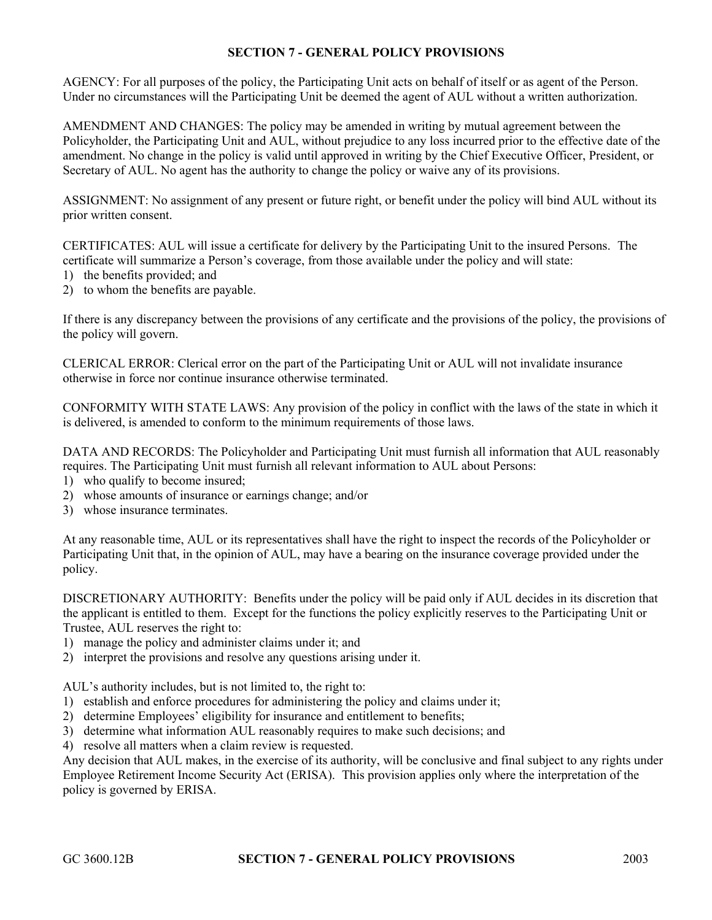#### **SECTION 7 - GENERAL POLICY PROVISIONS**

AGENCY: For all purposes of the policy, the Participating Unit acts on behalf of itself or as agent of the Person. Under no circumstances will the Participating Unit be deemed the agent of AUL without a written authorization.

AMENDMENT AND CHANGES: The policy may be amended in writing by mutual agreement between the Policyholder, the Participating Unit and AUL, without prejudice to any loss incurred prior to the effective date of the amendment. No change in the policy is valid until approved in writing by the Chief Executive Officer, President, or Secretary of AUL. No agent has the authority to change the policy or waive any of its provisions.

ASSIGNMENT: No assignment of any present or future right, or benefit under the policy will bind AUL without its prior written consent.

CERTIFICATES: AUL will issue a certificate for delivery by the Participating Unit to the insured Persons. The certificate will summarize a Person's coverage, from those available under the policy and will state:

- 1) the benefits provided; and
- 2) to whom the benefits are payable.

If there is any discrepancy between the provisions of any certificate and the provisions of the policy, the provisions of the policy will govern.

CLERICAL ERROR: Clerical error on the part of the Participating Unit or AUL will not invalidate insurance otherwise in force nor continue insurance otherwise terminated.

CONFORMITY WITH STATE LAWS: Any provision of the policy in conflict with the laws of the state in which it is delivered, is amended to conform to the minimum requirements of those laws.

DATA AND RECORDS: The Policyholder and Participating Unit must furnish all information that AUL reasonably requires. The Participating Unit must furnish all relevant information to AUL about Persons:

- 1) who qualify to become insured;
- 2) whose amounts of insurance or earnings change; and/or
- 3) whose insurance terminates.

At any reasonable time, AUL or its representatives shall have the right to inspect the records of the Policyholder or Participating Unit that, in the opinion of AUL, may have a bearing on the insurance coverage provided under the policy.

DISCRETIONARY AUTHORITY: Benefits under the policy will be paid only if AUL decides in its discretion that the applicant is entitled to them. Except for the functions the policy explicitly reserves to the Participating Unit or Trustee, AUL reserves the right to:

- 1) manage the policy and administer claims under it; and
- 2) interpret the provisions and resolve any questions arising under it.

AUL's authority includes, but is not limited to, the right to:

- 1) establish and enforce procedures for administering the policy and claims under it;
- 2) determine Employees' eligibility for insurance and entitlement to benefits;
- 3) determine what information AUL reasonably requires to make such decisions; and

4) resolve all matters when a claim review is requested.

Any decision that AUL makes, in the exercise of its authority, will be conclusive and final subject to any rights under Employee Retirement Income Security Act (ERISA). This provision applies only where the interpretation of the policy is governed by ERISA.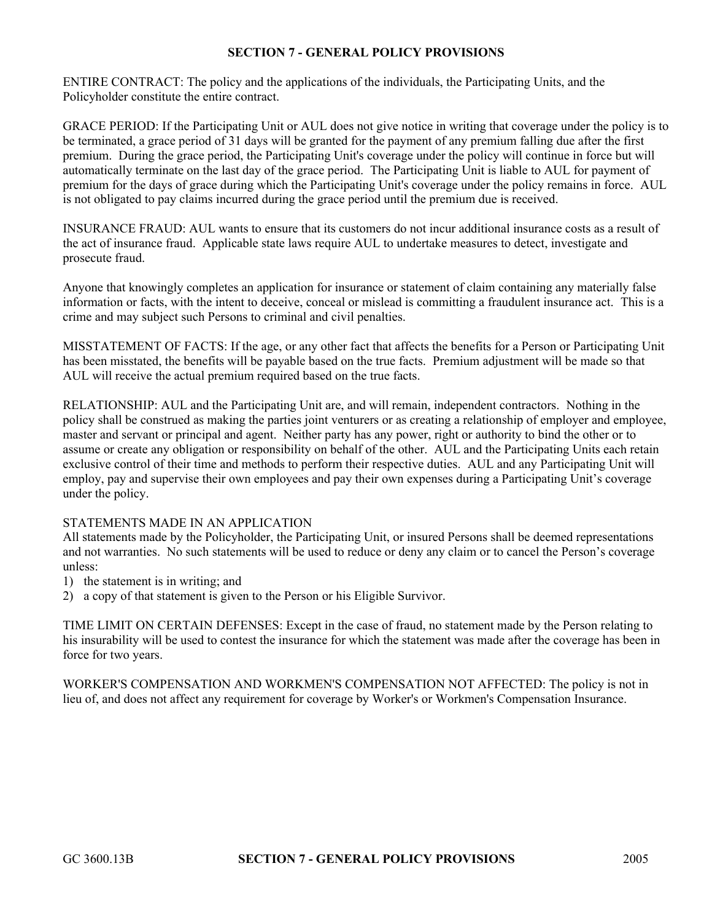#### **SECTION 7 - GENERAL POLICY PROVISIONS**

ENTIRE CONTRACT: The policy and the applications of the individuals, the Participating Units, and the Policyholder constitute the entire contract.

GRACE PERIOD: If the Participating Unit or AUL does not give notice in writing that coverage under the policy is to be terminated, a grace period of 31 days will be granted for the payment of any premium falling due after the first premium. During the grace period, the Participating Unit's coverage under the policy will continue in force but will automatically terminate on the last day of the grace period. The Participating Unit is liable to AUL for payment of premium for the days of grace during which the Participating Unit's coverage under the policy remains in force. AUL is not obligated to pay claims incurred during the grace period until the premium due is received.

INSURANCE FRAUD: AUL wants to ensure that its customers do not incur additional insurance costs as a result of the act of insurance fraud. Applicable state laws require AUL to undertake measures to detect, investigate and prosecute fraud.

Anyone that knowingly completes an application for insurance or statement of claim containing any materially false information or facts, with the intent to deceive, conceal or mislead is committing a fraudulent insurance act. This is a crime and may subject such Persons to criminal and civil penalties.

MISSTATEMENT OF FACTS: If the age, or any other fact that affects the benefits for a Person or Participating Unit has been misstated, the benefits will be payable based on the true facts. Premium adjustment will be made so that AUL will receive the actual premium required based on the true facts.

RELATIONSHIP: AUL and the Participating Unit are, and will remain, independent contractors. Nothing in the policy shall be construed as making the parties joint venturers or as creating a relationship of employer and employee, master and servant or principal and agent. Neither party has any power, right or authority to bind the other or to assume or create any obligation or responsibility on behalf of the other. AUL and the Participating Units each retain exclusive control of their time and methods to perform their respective duties. AUL and any Participating Unit will employ, pay and supervise their own employees and pay their own expenses during a Participating Unit's coverage under the policy.

#### STATEMENTS MADE IN AN APPLICATION

All statements made by the Policyholder, the Participating Unit, or insured Persons shall be deemed representations and not warranties. No such statements will be used to reduce or deny any claim or to cancel the Person's coverage unless:

- 1) the statement is in writing; and
- 2) a copy of that statement is given to the Person or his Eligible Survivor.

TIME LIMIT ON CERTAIN DEFENSES: Except in the case of fraud, no statement made by the Person relating to his insurability will be used to contest the insurance for which the statement was made after the coverage has been in force for two years.

WORKER'S COMPENSATION AND WORKMEN'S COMPENSATION NOT AFFECTED: The policy is not in lieu of, and does not affect any requirement for coverage by Worker's or Workmen's Compensation Insurance.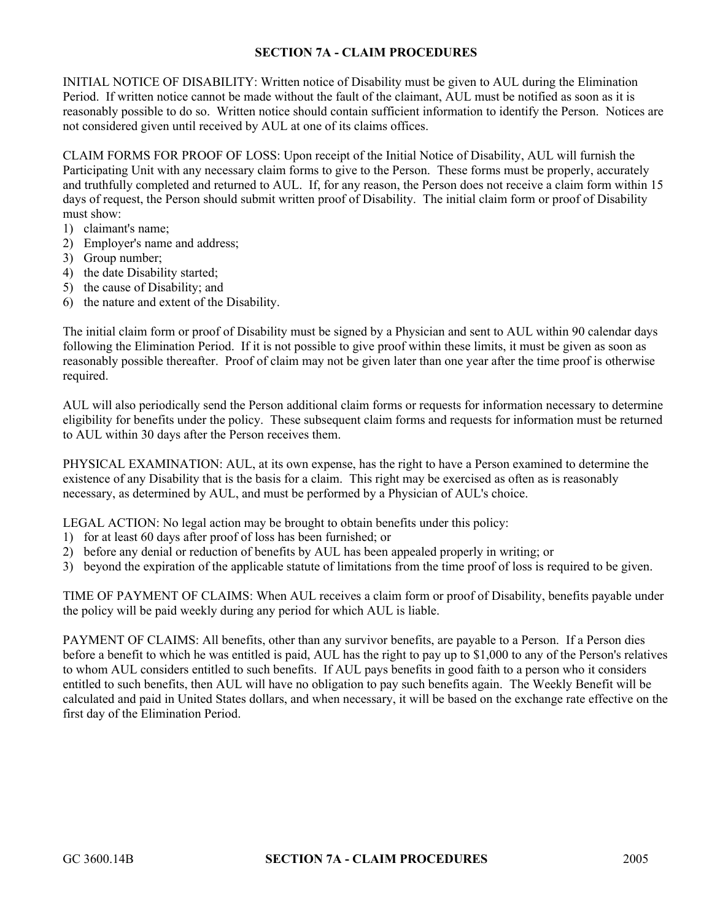#### **SECTION 7A - CLAIM PROCEDURES**

INITIAL NOTICE OF DISABILITY: Written notice of Disability must be given to AUL during the Elimination Period. If written notice cannot be made without the fault of the claimant, AUL must be notified as soon as it is reasonably possible to do so. Written notice should contain sufficient information to identify the Person. Notices are not considered given until received by AUL at one of its claims offices.

CLAIM FORMS FOR PROOF OF LOSS: Upon receipt of the Initial Notice of Disability, AUL will furnish the Participating Unit with any necessary claim forms to give to the Person. These forms must be properly, accurately and truthfully completed and returned to AUL. If, for any reason, the Person does not receive a claim form within 15 days of request, the Person should submit written proof of Disability. The initial claim form or proof of Disability must show:

- 1) claimant's name;
- 2) Employer's name and address;
- 3) Group number;
- 4) the date Disability started;
- 5) the cause of Disability; and
- 6) the nature and extent of the Disability.

The initial claim form or proof of Disability must be signed by a Physician and sent to AUL within 90 calendar days following the Elimination Period. If it is not possible to give proof within these limits, it must be given as soon as reasonably possible thereafter. Proof of claim may not be given later than one year after the time proof is otherwise required.

AUL will also periodically send the Person additional claim forms or requests for information necessary to determine eligibility for benefits under the policy. These subsequent claim forms and requests for information must be returned to AUL within 30 days after the Person receives them.

PHYSICAL EXAMINATION: AUL, at its own expense, has the right to have a Person examined to determine the existence of any Disability that is the basis for a claim. This right may be exercised as often as is reasonably necessary, as determined by AUL, and must be performed by a Physician of AUL's choice.

LEGAL ACTION: No legal action may be brought to obtain benefits under this policy:

- 1) for at least 60 days after proof of loss has been furnished; or
- 2) before any denial or reduction of benefits by AUL has been appealed properly in writing; or
- 3) beyond the expiration of the applicable statute of limitations from the time proof of loss is required to be given.

TIME OF PAYMENT OF CLAIMS: When AUL receives a claim form or proof of Disability, benefits payable under the policy will be paid weekly during any period for which AUL is liable.

PAYMENT OF CLAIMS: All benefits, other than any survivor benefits, are payable to a Person. If a Person dies before a benefit to which he was entitled is paid, AUL has the right to pay up to \$1,000 to any of the Person's relatives to whom AUL considers entitled to such benefits. If AUL pays benefits in good faith to a person who it considers entitled to such benefits, then AUL will have no obligation to pay such benefits again. The Weekly Benefit will be calculated and paid in United States dollars, and when necessary, it will be based on the exchange rate effective on the first day of the Elimination Period.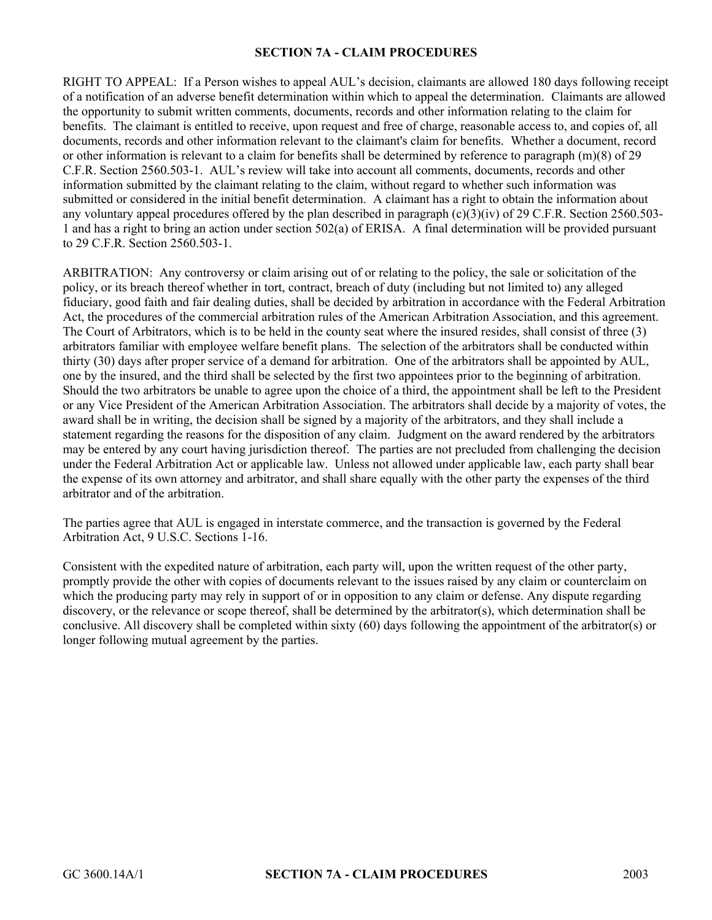#### **SECTION 7A - CLAIM PROCEDURES**

RIGHT TO APPEAL: If a Person wishes to appeal AUL's decision, claimants are allowed 180 days following receipt of a notification of an adverse benefit determination within which to appeal the determination. Claimants are allowed the opportunity to submit written comments, documents, records and other information relating to the claim for benefits. The claimant is entitled to receive, upon request and free of charge, reasonable access to, and copies of, all documents, records and other information relevant to the claimant's claim for benefits. Whether a document, record or other information is relevant to a claim for benefits shall be determined by reference to paragraph (m)(8) of 29 C.F.R. Section 2560.503-1. AUL's review will take into account all comments, documents, records and other information submitted by the claimant relating to the claim, without regard to whether such information was submitted or considered in the initial benefit determination. A claimant has a right to obtain the information about any voluntary appeal procedures offered by the plan described in paragraph (c)(3)(iv) of 29 C.F.R. Section 2560.503-1 and has a right to bring an action under section 502(a) of ERISA. A final determination will be provided pursuant to 29 C.F.R. Section 2560.503-1.

ARBITRATION: Any controversy or claim arising out of or relating to the policy, the sale or solicitation of the policy, or its breach thereof whether in tort, contract, breach of duty (including but not limited to) any alleged fiduciary, good faith and fair dealing duties, shall be decided by arbitration in accordance with the Federal Arbitration Act, the procedures of the commercial arbitration rules of the American Arbitration Association, and this agreement. The Court of Arbitrators, which is to be held in the county seat where the insured resides, shall consist of three (3) arbitrators familiar with employee welfare benefit plans. The selection of the arbitrators shall be conducted within thirty (30) days after proper service of a demand for arbitration. One of the arbitrators shall be appointed by AUL, one by the insured, and the third shall be selected by the first two appointees prior to the beginning of arbitration. Should the two arbitrators be unable to agree upon the choice of a third, the appointment shall be left to the President or any Vice President of the American Arbitration Association. The arbitrators shall decide by a majority of votes, the award shall be in writing, the decision shall be signed by a majority of the arbitrators, and they shall include a statement regarding the reasons for the disposition of any claim. Judgment on the award rendered by the arbitrators may be entered by any court having jurisdiction thereof. The parties are not precluded from challenging the decision under the Federal Arbitration Act or applicable law. Unless not allowed under applicable law, each party shall bear the expense of its own attorney and arbitrator, and shall share equally with the other party the expenses of the third arbitrator and of the arbitration.

The parties agree that AUL is engaged in interstate commerce, and the transaction is governed by the Federal Arbitration Act, 9 U.S.C. Sections 1-16.

Consistent with the expedited nature of arbitration, each party will, upon the written request of the other party, promptly provide the other with copies of documents relevant to the issues raised by any claim or counterclaim on which the producing party may rely in support of or in opposition to any claim or defense. Any dispute regarding discovery, or the relevance or scope thereof, shall be determined by the arbitrator(s), which determination shall be conclusive. All discovery shall be completed within sixty (60) days following the appointment of the arbitrator(s) or longer following mutual agreement by the parties.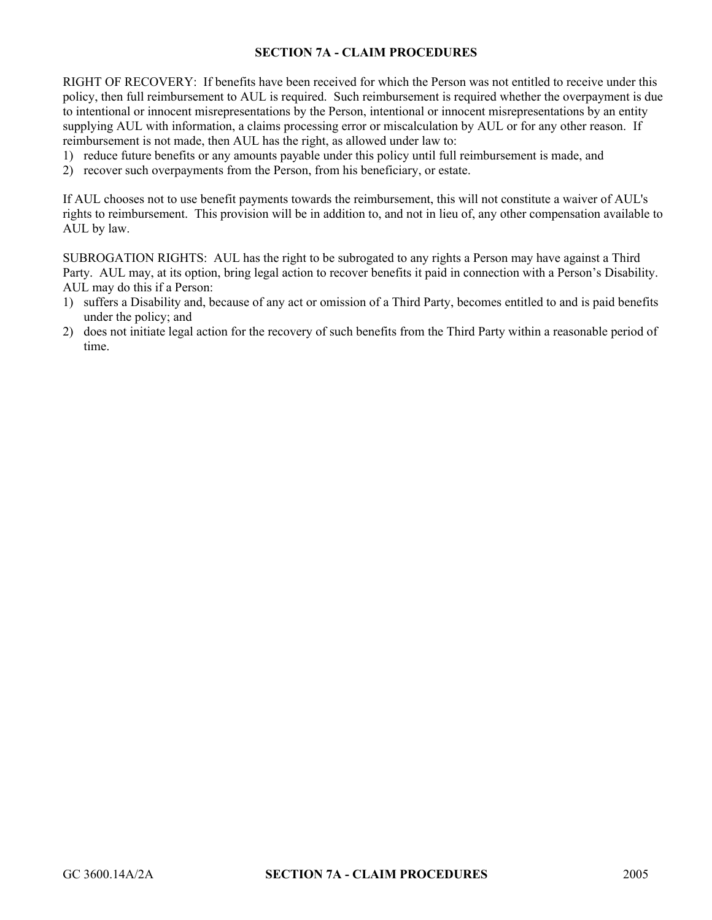#### **SECTION 7A - CLAIM PROCEDURES**

RIGHT OF RECOVERY: If benefits have been received for which the Person was not entitled to receive under this policy, then full reimbursement to AUL is required. Such reimbursement is required whether the overpayment is due to intentional or innocent misrepresentations by the Person, intentional or innocent misrepresentations by an entity supplying AUL with information, a claims processing error or miscalculation by AUL or for any other reason. If reimbursement is not made, then AUL has the right, as allowed under law to:

- 1) reduce future benefits or any amounts payable under this policy until full reimbursement is made, and
- 2) recover such overpayments from the Person, from his beneficiary, or estate.

If AUL chooses not to use benefit payments towards the reimbursement, this will not constitute a waiver of AUL's rights to reimbursement. This provision will be in addition to, and not in lieu of, any other compensation available to AUL by law.

SUBROGATION RIGHTS: AUL has the right to be subrogated to any rights a Person may have against a Third Party. AUL may, at its option, bring legal action to recover benefits it paid in connection with a Person's Disability. AUL may do this if a Person:

- 1) suffers a Disability and, because of any act or omission of a Third Party, becomes entitled to and is paid benefits under the policy; and
- 2) does not initiate legal action for the recovery of such benefits from the Third Party within a reasonable period of time.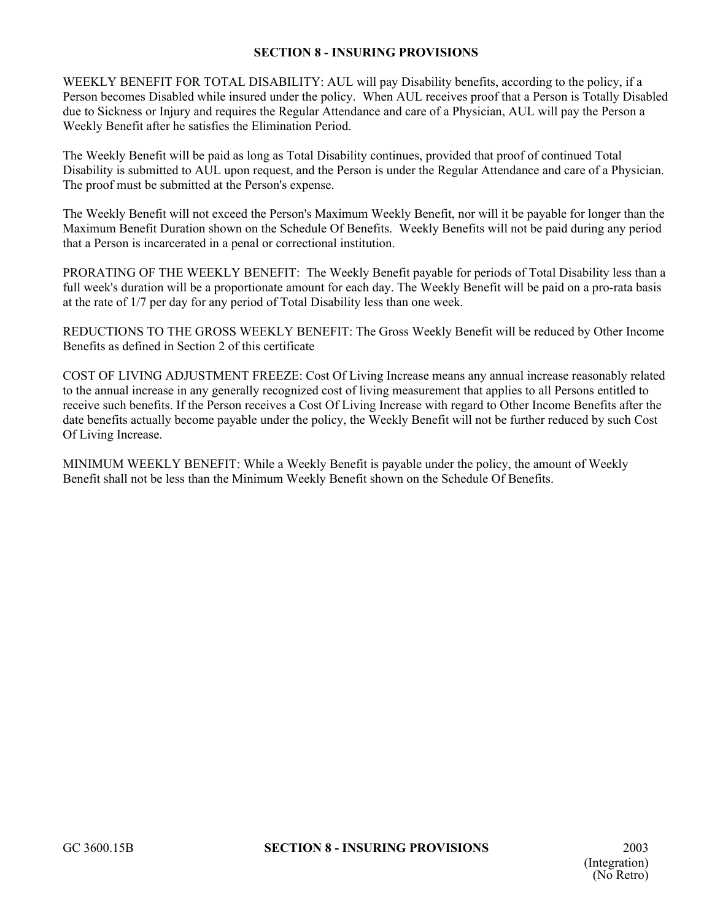WEEKLY BENEFIT FOR TOTAL DISABILITY: AUL will pay Disability benefits, according to the policy, if a Person becomes Disabled while insured under the policy. When AUL receives proof that a Person is Totally Disabled due to Sickness or Injury and requires the Regular Attendance and care of a Physician, AUL will pay the Person a Weekly Benefit after he satisfies the Elimination Period.

The Weekly Benefit will be paid as long as Total Disability continues, provided that proof of continued Total Disability is submitted to AUL upon request, and the Person is under the Regular Attendance and care of a Physician. The proof must be submitted at the Person's expense.

The Weekly Benefit will not exceed the Person's Maximum Weekly Benefit, nor will it be payable for longer than the Maximum Benefit Duration shown on the Schedule Of Benefits. Weekly Benefits will not be paid during any period that a Person is incarcerated in a penal or correctional institution.

PRORATING OF THE WEEKLY BENEFIT: The Weekly Benefit payable for periods of Total Disability less than a full week's duration will be a proportionate amount for each day. The Weekly Benefit will be paid on a pro-rata basis at the rate of 1/7 per day for any period of Total Disability less than one week.

REDUCTIONS TO THE GROSS WEEKLY BENEFIT: The Gross Weekly Benefit will be reduced by Other Income Benefits as defined in Section 2 of this certificate

COST OF LIVING ADJUSTMENT FREEZE: Cost Of Living Increase means any annual increase reasonably related to the annual increase in any generally recognized cost of living measurement that applies to all Persons entitled to receive such benefits. If the Person receives a Cost Of Living Increase with regard to Other Income Benefits after the date benefits actually become payable under the policy, the Weekly Benefit will not be further reduced by such Cost Of Living Increase.

MINIMUM WEEKLY BENEFIT: While a Weekly Benefit is payable under the policy, the amount of Weekly Benefit shall not be less than the Minimum Weekly Benefit shown on the Schedule Of Benefits.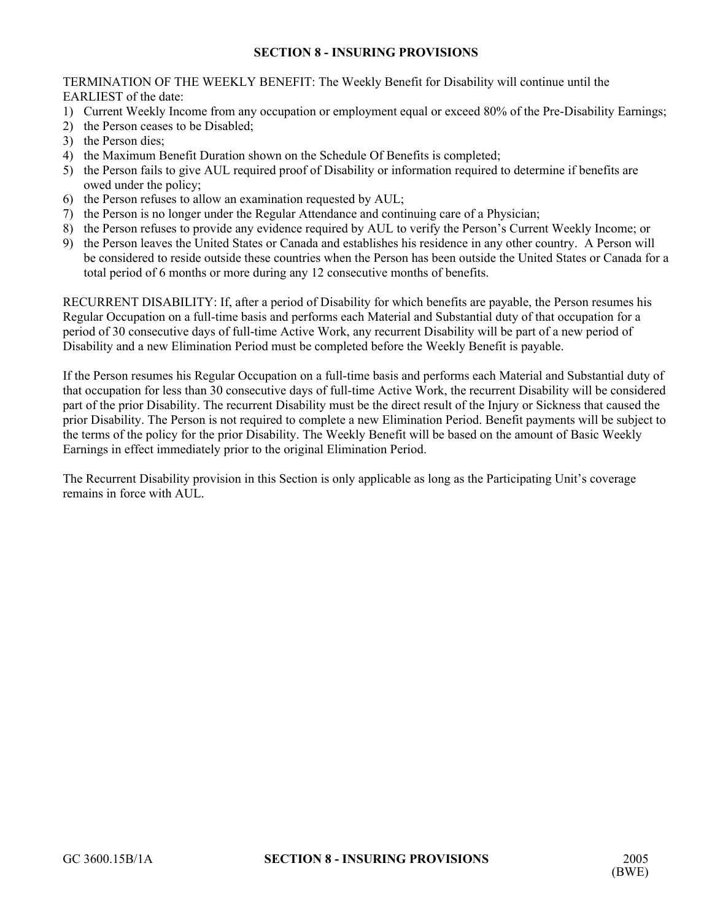TERMINATION OF THE WEEKLY BENEFIT: The Weekly Benefit for Disability will continue until the EARLIEST of the date:

- 1) Current Weekly Income from any occupation or employment equal or exceed 80% of the Pre-Disability Earnings;
- 2) the Person ceases to be Disabled;
- 3) the Person dies;
- 4) the Maximum Benefit Duration shown on the Schedule Of Benefits is completed;
- 5) the Person fails to give AUL required proof of Disability or information required to determine if benefits are owed under the policy;
- 6) the Person refuses to allow an examination requested by AUL;
- 7) the Person is no longer under the Regular Attendance and continuing care of a Physician;
- 8) the Person refuses to provide any evidence required by AUL to verify the Person's Current Weekly Income; or
- 9) the Person leaves the United States or Canada and establishes his residence in any other country. A Person will be considered to reside outside these countries when the Person has been outside the United States or Canada for a total period of 6 months or more during any 12 consecutive months of benefits.

RECURRENT DISABILITY: If, after a period of Disability for which benefits are payable, the Person resumes his Regular Occupation on a full-time basis and performs each Material and Substantial duty of that occupation for a period of 30 consecutive days of full-time Active Work, any recurrent Disability will be part of a new period of Disability and a new Elimination Period must be completed before the Weekly Benefit is payable.

If the Person resumes his Regular Occupation on a full-time basis and performs each Material and Substantial duty of that occupation for less than 30 consecutive days of full-time Active Work, the recurrent Disability will be considered part of the prior Disability. The recurrent Disability must be the direct result of the Injury or Sickness that caused the prior Disability. The Person is not required to complete a new Elimination Period. Benefit payments will be subject to the terms of the policy for the prior Disability. The Weekly Benefit will be based on the amount of Basic Weekly Earnings in effect immediately prior to the original Elimination Period.

The Recurrent Disability provision in this Section is only applicable as long as the Participating Unit's coverage remains in force with AUL.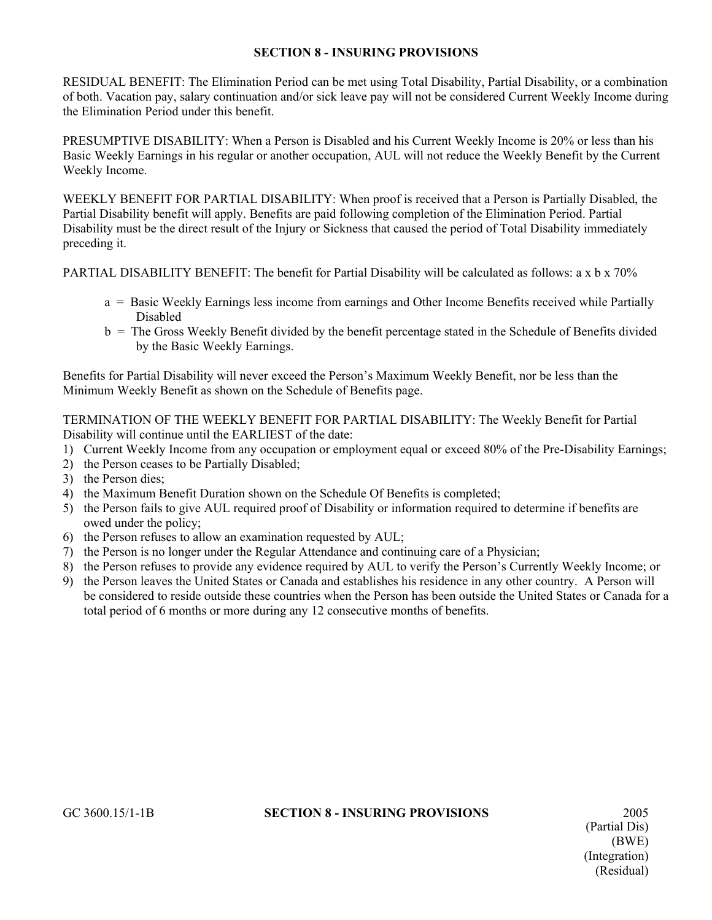RESIDUAL BENEFIT: The Elimination Period can be met using Total Disability, Partial Disability, or a combination of both. Vacation pay, salary continuation and/or sick leave pay will not be considered Current Weekly Income during the Elimination Period under this benefit.

PRESUMPTIVE DISABILITY: When a Person is Disabled and his Current Weekly Income is 20% or less than his Basic Weekly Earnings in his regular or another occupation, AUL will not reduce the Weekly Benefit by the Current Weekly Income.

WEEKLY BENEFIT FOR PARTIAL DISABILITY: When proof is received that a Person is Partially Disabled, the Partial Disability benefit will apply. Benefits are paid following completion of the Elimination Period. Partial Disability must be the direct result of the Injury or Sickness that caused the period of Total Disability immediately preceding it.

PARTIAL DISABILITY BENEFIT: The benefit for Partial Disability will be calculated as follows: a x b x 70%

- a = Basic Weekly Earnings less income from earnings and Other Income Benefits received while Partially Disabled
- b = The Gross Weekly Benefit divided by the benefit percentage stated in the Schedule of Benefits divided by the Basic Weekly Earnings.

Benefits for Partial Disability will never exceed the Person's Maximum Weekly Benefit, nor be less than the Minimum Weekly Benefit as shown on the Schedule of Benefits page.

TERMINATION OF THE WEEKLY BENEFIT FOR PARTIAL DISABILITY: The Weekly Benefit for Partial Disability will continue until the EARLIEST of the date:

- 1) Current Weekly Income from any occupation or employment equal or exceed 80% of the Pre-Disability Earnings;
- 2) the Person ceases to be Partially Disabled;
- 3) the Person dies;
- 4) the Maximum Benefit Duration shown on the Schedule Of Benefits is completed;
- 5) the Person fails to give AUL required proof of Disability or information required to determine if benefits are owed under the policy;
- 6) the Person refuses to allow an examination requested by AUL;
- 7) the Person is no longer under the Regular Attendance and continuing care of a Physician;
- 8) the Person refuses to provide any evidence required by AUL to verify the Person's Currently Weekly Income; or
- 9) the Person leaves the United States or Canada and establishes his residence in any other country. A Person will be considered to reside outside these countries when the Person has been outside the United States or Canada for a total period of 6 months or more during any 12 consecutive months of benefits.

#### GC 3600.15/1-1B **SECTION 8 - INSURING PROVISIONS** 2005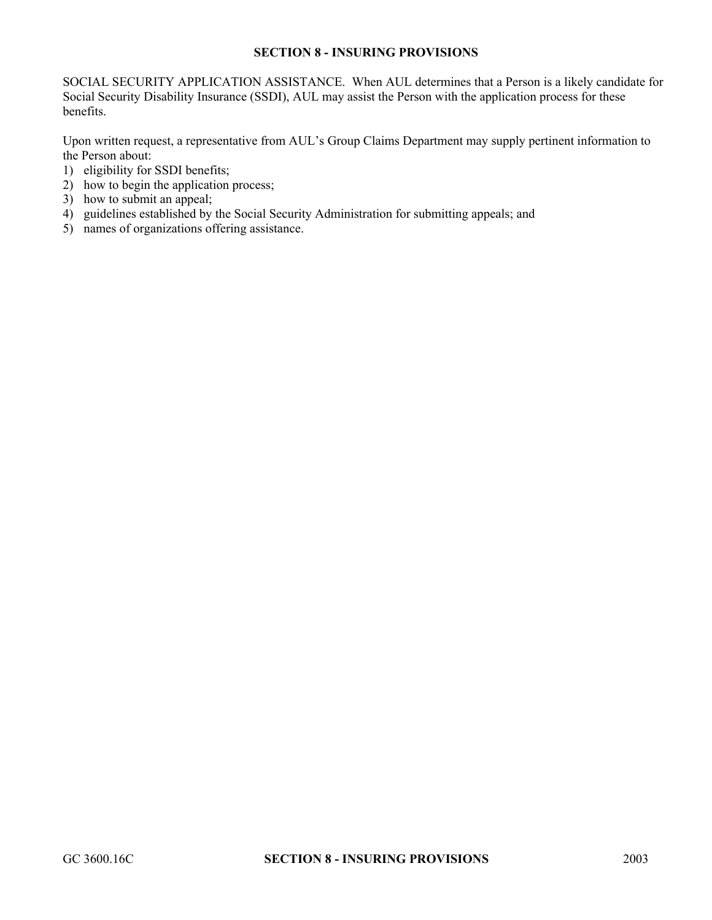SOCIAL SECURITY APPLICATION ASSISTANCE. When AUL determines that a Person is a likely candidate for Social Security Disability Insurance (SSDI), AUL may assist the Person with the application process for these benefits.

Upon written request, a representative from AUL's Group Claims Department may supply pertinent information to the Person about:

- 1) eligibility for SSDI benefits;
- 2) how to begin the application process;
- 3) how to submit an appeal;
- 4) guidelines established by the Social Security Administration for submitting appeals; and
- 5) names of organizations offering assistance.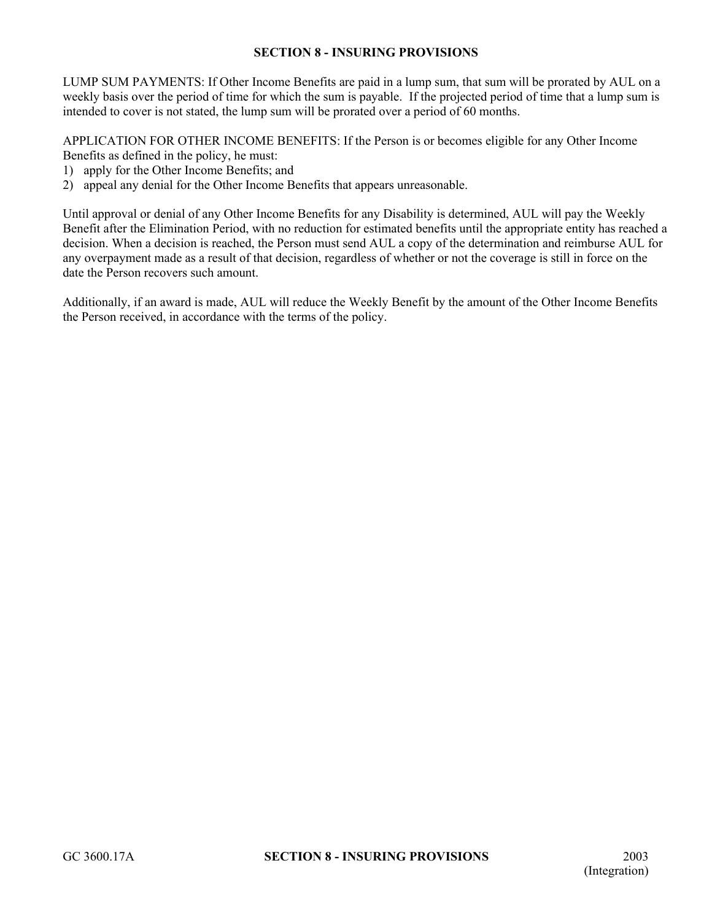LUMP SUM PAYMENTS: If Other Income Benefits are paid in a lump sum, that sum will be prorated by AUL on a weekly basis over the period of time for which the sum is payable. If the projected period of time that a lump sum is intended to cover is not stated, the lump sum will be prorated over a period of 60 months.

APPLICATION FOR OTHER INCOME BENEFITS: If the Person is or becomes eligible for any Other Income Benefits as defined in the policy, he must:

- 1) apply for the Other Income Benefits; and
- 2) appeal any denial for the Other Income Benefits that appears unreasonable.

Until approval or denial of any Other Income Benefits for any Disability is determined, AUL will pay the Weekly Benefit after the Elimination Period, with no reduction for estimated benefits until the appropriate entity has reached a decision. When a decision is reached, the Person must send AUL a copy of the determination and reimburse AUL for any overpayment made as a result of that decision, regardless of whether or not the coverage is still in force on the date the Person recovers such amount.

Additionally, if an award is made, AUL will reduce the Weekly Benefit by the amount of the Other Income Benefits the Person received, in accordance with the terms of the policy.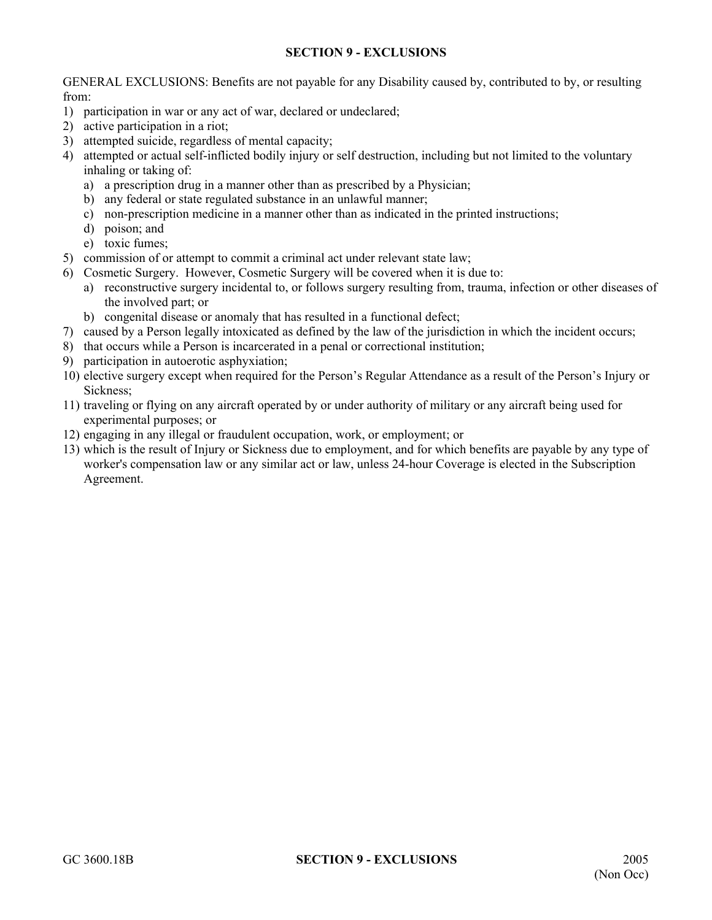#### **SECTION 9 - EXCLUSIONS**

GENERAL EXCLUSIONS: Benefits are not payable for any Disability caused by, contributed to by, or resulting from:

- 1) participation in war or any act of war, declared or undeclared;
- 2) active participation in a riot;
- 3) attempted suicide, regardless of mental capacity;
- 4) attempted or actual self-inflicted bodily injury or self destruction, including but not limited to the voluntary inhaling or taking of:
	- a) a prescription drug in a manner other than as prescribed by a Physician;
	- b) any federal or state regulated substance in an unlawful manner;
	- c) non-prescription medicine in a manner other than as indicated in the printed instructions;
	- d) poison; and
	- e) toxic fumes;
- 5) commission of or attempt to commit a criminal act under relevant state law;
- 6) Cosmetic Surgery. However, Cosmetic Surgery will be covered when it is due to:
	- a) reconstructive surgery incidental to, or follows surgery resulting from, trauma, infection or other diseases of the involved part; or
	- b) congenital disease or anomaly that has resulted in a functional defect;
- 7) caused by a Person legally intoxicated as defined by the law of the jurisdiction in which the incident occurs;
- 8) that occurs while a Person is incarcerated in a penal or correctional institution;
- 9) participation in autoerotic asphyxiation;
- 10) elective surgery except when required for the Person's Regular Attendance as a result of the Person's Injury or Sickness;
- 11) traveling or flying on any aircraft operated by or under authority of military or any aircraft being used for experimental purposes; or
- 12) engaging in any illegal or fraudulent occupation, work, or employment; or
- 13) which is the result of Injury or Sickness due to employment, and for which benefits are payable by any type of worker's compensation law or any similar act or law, unless 24-hour Coverage is elected in the Subscription Agreement.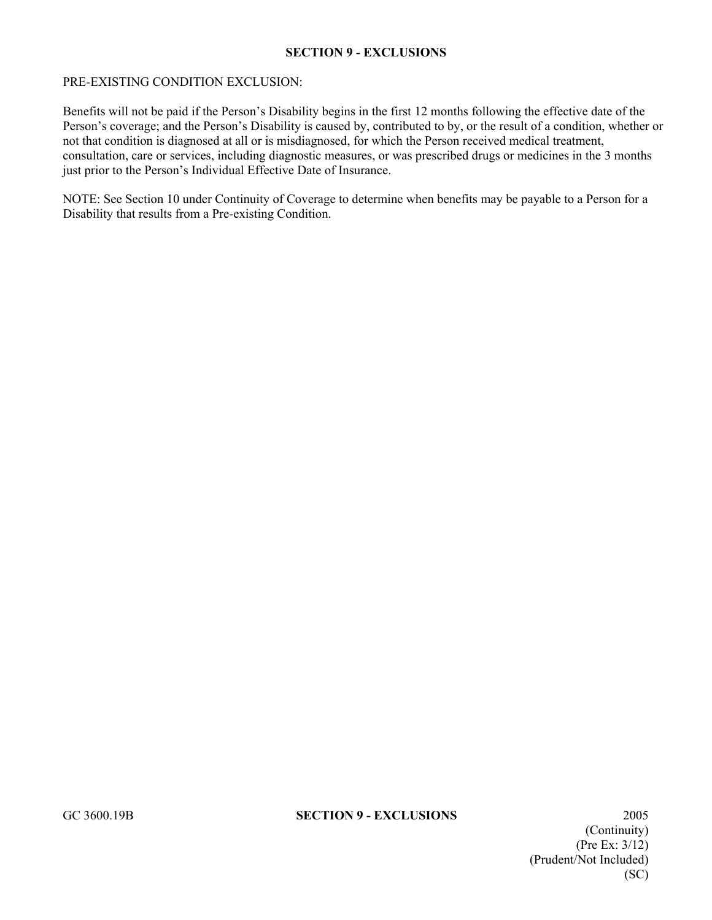#### **SECTION 9 - EXCLUSIONS**

#### PRE-EXISTING CONDITION EXCLUSION:

Benefits will not be paid if the Person's Disability begins in the first 12 months following the effective date of the Person's coverage; and the Person's Disability is caused by, contributed to by, or the result of a condition, whether or not that condition is diagnosed at all or is misdiagnosed, for which the Person received medical treatment, consultation, care or services, including diagnostic measures, or was prescribed drugs or medicines in the 3 months just prior to the Person's Individual Effective Date of Insurance.

NOTE: See Section 10 under Continuity of Coverage to determine when benefits may be payable to a Person for a Disability that results from a Pre-existing Condition.

#### GC 3600.19B **SECTION 9 - EXCLUSIONS** 2005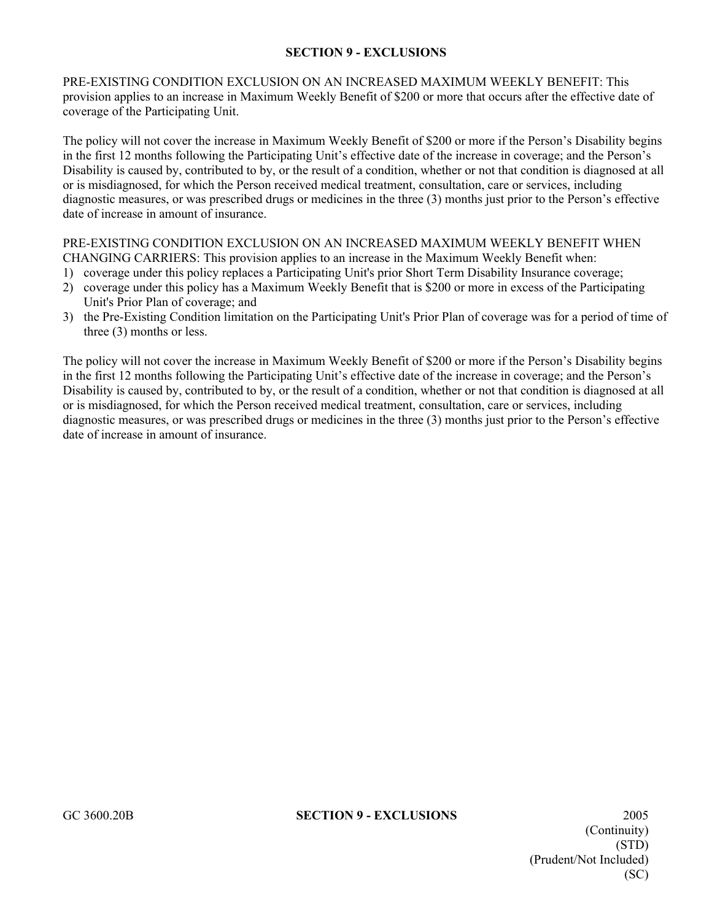#### **SECTION 9 - EXCLUSIONS**

PRE-EXISTING CONDITION EXCLUSION ON AN INCREASED MAXIMUM WEEKLY BENEFIT: This provision applies to an increase in Maximum Weekly Benefit of \$200 or more that occurs after the effective date of coverage of the Participating Unit.

The policy will not cover the increase in Maximum Weekly Benefit of \$200 or more if the Person's Disability begins in the first 12 months following the Participating Unit's effective date of the increase in coverage; and the Person's Disability is caused by, contributed to by, or the result of a condition, whether or not that condition is diagnosed at all or is misdiagnosed, for which the Person received medical treatment, consultation, care or services, including diagnostic measures, or was prescribed drugs or medicines in the three (3) months just prior to the Person's effective date of increase in amount of insurance.

PRE-EXISTING CONDITION EXCLUSION ON AN INCREASED MAXIMUM WEEKLY BENEFIT WHEN CHANGING CARRIERS: This provision applies to an increase in the Maximum Weekly Benefit when:

- 1) coverage under this policy replaces a Participating Unit's prior Short Term Disability Insurance coverage;
- 2) coverage under this policy has a Maximum Weekly Benefit that is \$200 or more in excess of the Participating Unit's Prior Plan of coverage; and
- 3) the Pre-Existing Condition limitation on the Participating Unit's Prior Plan of coverage was for a period of time of three (3) months or less.

The policy will not cover the increase in Maximum Weekly Benefit of \$200 or more if the Person's Disability begins in the first 12 months following the Participating Unit's effective date of the increase in coverage; and the Person's Disability is caused by, contributed to by, or the result of a condition, whether or not that condition is diagnosed at all or is misdiagnosed, for which the Person received medical treatment, consultation, care or services, including diagnostic measures, or was prescribed drugs or medicines in the three (3) months just prior to the Person's effective date of increase in amount of insurance.

#### GC 3600.20B **SECTION 9 - EXCLUSIONS** 2005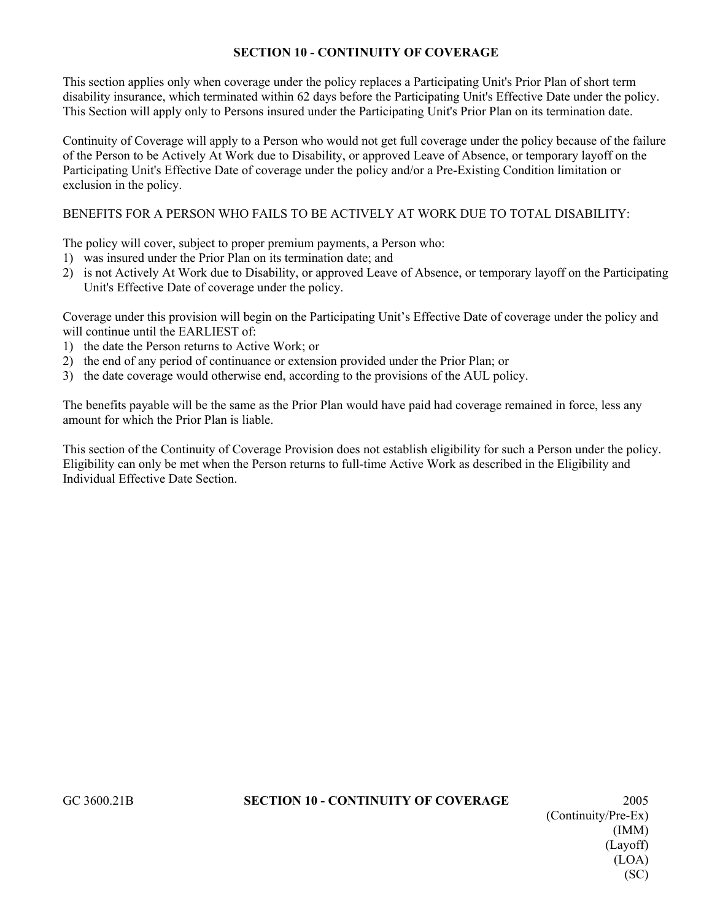#### **SECTION 10 - CONTINUITY OF COVERAGE**

This section applies only when coverage under the policy replaces a Participating Unit's Prior Plan of short term disability insurance, which terminated within 62 days before the Participating Unit's Effective Date under the policy. This Section will apply only to Persons insured under the Participating Unit's Prior Plan on its termination date.

Continuity of Coverage will apply to a Person who would not get full coverage under the policy because of the failure of the Person to be Actively At Work due to Disability, or approved Leave of Absence, or temporary layoff on the Participating Unit's Effective Date of coverage under the policy and/or a Pre-Existing Condition limitation or exclusion in the policy.

#### BENEFITS FOR A PERSON WHO FAILS TO BE ACTIVELY AT WORK DUE TO TOTAL DISABILITY:

The policy will cover, subject to proper premium payments, a Person who:

- 1) was insured under the Prior Plan on its termination date; and
- 2) is not Actively At Work due to Disability, or approved Leave of Absence, or temporary layoff on the Participating Unit's Effective Date of coverage under the policy.

Coverage under this provision will begin on the Participating Unit's Effective Date of coverage under the policy and will continue until the EARLIEST of:

- 1) the date the Person returns to Active Work; or
- 2) the end of any period of continuance or extension provided under the Prior Plan; or
- 3) the date coverage would otherwise end, according to the provisions of the AUL policy.

The benefits payable will be the same as the Prior Plan would have paid had coverage remained in force, less any amount for which the Prior Plan is liable.

This section of the Continuity of Coverage Provision does not establish eligibility for such a Person under the policy. Eligibility can only be met when the Person returns to full-time Active Work as described in the Eligibility and Individual Effective Date Section.

#### GC 3600.21B **SECTION 10 - CONTINUITY OF COVERAGE** 2005